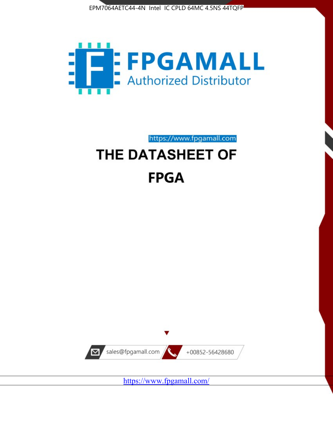



https://www.fpgamall.com

# THE DATASHEET OF **FPGA**



<https://www.fpgamall.com/>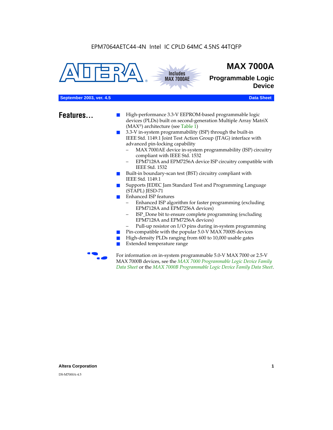



## **MAX 7000A**

**Programmable Logic Device**

#### **September 2003, ver. 4.5 Data Sheet** Construction of the Construction of the Construction of the Construction of the Construction of the Construction of the Construction of the Construction of the Construction of the Cons

- **Features...** High-performance 3.3-V EEPROM-based programmable logic devices (PLDs) built on second-generation Multiple Array MatriX (MAX®) architecture (see Table 1)
	- 3.3-V in-system programmability (ISP) through the built-in IEEE Std. 1149.1 Joint Test Action Group (JTAG) interface with advanced pin-locking capability
		- MAX 7000AE device in-system programmability (ISP) circuitry compliant with IEEE Std. 1532
		- EPM7128A and EPM7256A device ISP circuitry compatible with IEEE Std. 1532
	- Built-in boundary-scan test (BST) circuitry compliant with IEEE Std. 1149.1
	- Supports JEDEC Jam Standard Test and Programming Language (STAPL) JESD-71
	- Enhanced ISP features
		- Enhanced ISP algorithm for faster programming (excluding EPM7128A and EPM7256A devices)
		- ISP\_Done bit to ensure complete programming (excluding EPM7128A and EPM7256A devices)
		- Pull-up resistor on I/O pins during in-system programming
	- Pin-compatible with the popular 5.0-V MAX 7000S devices
	- High-density PLDs ranging from 600 to 10,000 usable gates
	- Extended temperature range

For information on in-system programmable 5.0-V MAX 7000 or 2.5-V MAX 7000B devices, see the *MAX 7000 Programmable Logic Device Family Data Sheet* or the *MAX 7000B Programmable Logic Device Family Data Sheet*.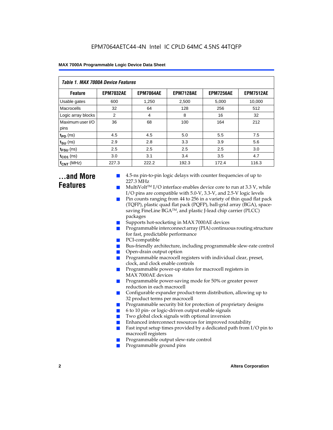| Table 1. MAX 7000A Device Features |                  |                  |                  |                  |                  |  |  |  |  |
|------------------------------------|------------------|------------------|------------------|------------------|------------------|--|--|--|--|
| <b>Feature</b>                     | <b>EPM7032AE</b> | <b>EPM7064AE</b> | <b>EPM7128AE</b> | <b>EPM7256AE</b> | <b>EPM7512AE</b> |  |  |  |  |
| Usable gates                       | 600              | 1,250            | 2,500            | 5,000            | 10,000           |  |  |  |  |
| Macrocells                         | 32               | 64               | 128              | 256              | 512              |  |  |  |  |
| Logic array blocks                 | 2                | 4                | 8                | 16               | 32               |  |  |  |  |
| Maximum user I/O<br>pins           | 36               | 68               | 100              | 164              | 212              |  |  |  |  |
| $t_{PD}$ (ns)                      | 4.5              | 4.5              | 5.0              | 5.5              | 7.5              |  |  |  |  |
| $t_{SU}$ (ns)                      | 2.9              | 2.8              | 3.3              | 3.9              | 5.6              |  |  |  |  |
| $t_{\text{FSU}}$ (ns)              | 2.5              | 2.5              | 2.5              | 2.5              | 3.0              |  |  |  |  |
| $t_{CO1}$ (ns)                     | 3.0              | 3.1              | 3.4              | 3.5              | 4.7              |  |  |  |  |
| $f_{CNT}$ (MHz)                    | 227.3            | 222.2            | 192.3            | 172.4            | 116.3            |  |  |  |  |

### **...and More Features**

- 4.5-ns pin-to-pin logic delays with counter frequencies of up to 227.3 MHz
- $Multivolt<sup>TM</sup> I/O interface enables device core to run at 3.3 V, while$ I/O pins are compatible with 5.0-V, 3.3-V, and 2.5-V logic levels
- Pin counts ranging from 44 to 256 in a variety of thin quad flat pack (TQFP), plastic quad flat pack (PQFP), ball-grid array (BGA), spacesaving FineLine BGATM, and plastic J-lead chip carrier (PLCC) packages
- Supports hot-socketing in MAX 7000AE devices
- Programmable interconnect array (PIA) continuous routing structure for fast, predictable performance
- PCI-compatible
- Bus-friendly architecture, including programmable slew-rate control
- Open-drain output option
- Programmable macrocell registers with individual clear, preset, clock, and clock enable controls
- Programmable power-up states for macrocell registers in MAX 7000AE devices
- Programmable power-saving mode for 50% or greater power reduction in each macrocell
- Configurable expander product-term distribution, allowing up to 32 product terms per macrocell
- Programmable security bit for protection of proprietary designs
- 6 to 10 pin- or logic-driven output enable signals
- Two global clock signals with optional inversion
- Enhanced interconnect resources for improved routability
- **E** Fast input setup times provided by a dedicated path from  $I/O$  pin to macrocell registers
- Programmable output slew-rate control
- Programmable ground pins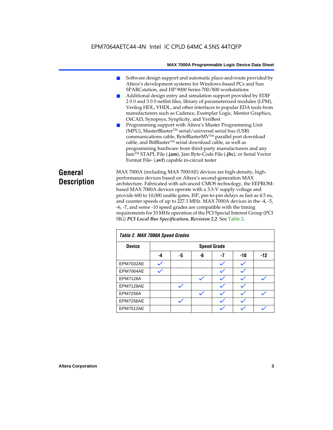- Software design support and automatic place-and-route provided by Altera's development systems for Windows-based PCs and Sun SPARCstation, and HP 9000 Series 700/800 workstations
- Additional design entry and simulation support provided by EDIF 2 0 0 and 3 0 0 netlist files, library of parameterized modules (LPM), Verilog HDL, VHDL, and other interfaces to popular EDA tools from manufacturers such as Cadence, Exemplar Logic, Mentor Graphics, OrCAD, Synopsys, Synplicity, and VeriBest
- Programming support with Altera's Master Programming Unit (MPU), MasterBlaster™ serial/universal serial bus (USB) communications cable, ByteBlasterMVTM parallel port download cable, and BitBlaster™ serial download cable, as well as programming hardware from third-party manufacturers and any JamTM STAPL File (**.jam**), Jam Byte-Code File (**.jbc**), or Serial Vector Format File- (**.svf**) capable in-circuit tester

### **General Description**

MAX 7000A (including MAX 7000AE) devices are high-density, highperformance devices based on Altera's second-generation MAX architecture. Fabricated with advanced CMOS technology, the EEPROMbased MAX 7000A devices operate with a 3.3-V supply voltage and provide 600 to 10,000 usable gates, ISP, pin-to-pin delays as fast as 4.5 ns, and counter speeds of up to 227.3 MHz. MAX 7000A devices in the -4, -5, -6, -7, and some -10 speed grades are compatible with the timing requirements for 33 MHz operation of the PCI Special Interest Group (PCI SIG) *PCI Local Bus Specification, Revision 2.2*. See Table 2.

| Table 2. MAX 7000A Speed Grades |                    |              |    |    |     |       |  |
|---------------------------------|--------------------|--------------|----|----|-----|-------|--|
| <b>Device</b>                   | <b>Speed Grade</b> |              |    |    |     |       |  |
|                                 | -4                 | -5           | -6 | -7 | -10 | $-12$ |  |
| EPM7032AE                       |                    |              |    |    |     |       |  |
| EPM7064AE                       |                    |              |    |    |     |       |  |
| <b>EPM7128A</b>                 |                    |              |    |    |     |       |  |
| EPM7128AE                       |                    |              |    |    |     |       |  |
| <b>EPM7256A</b>                 |                    |              |    |    |     |       |  |
| EPM7256AE                       |                    | $\checkmark$ |    |    |     |       |  |
| EPM7512AE                       |                    |              |    |    |     |       |  |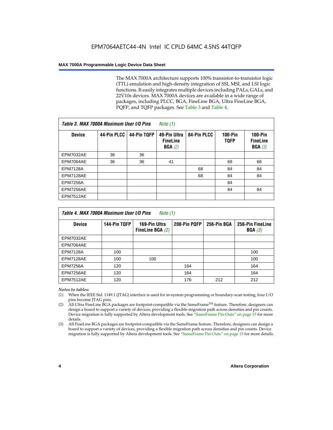The MAX 7000A architecture supports 100% transistor-to-transistor logic (TTL) emulation and high-density integration of SSI, MSI, and LSI logic functions. It easily integrates multiple devices including PALs, GALs, and 22V10s devices. MAX 7000A devices are available in a wide range of packages, including PLCC, BGA, FineLine BGA, Ultra FineLine BGA, PQFP, and TQFP packages. See Table 3 and Table 4.

| Table 3. MAX 7000A Maximum User I/O Pins |             | Note $(1)$  |                                           |             |                               |                                        |
|------------------------------------------|-------------|-------------|-------------------------------------------|-------------|-------------------------------|----------------------------------------|
| <b>Device</b>                            | 44-Pin PLCC | 44-Pin TQFP | 49-Pin Ultra<br><b>FineLine</b><br>BGA(2) | 84-Pin PLCC | <b>100-Pin</b><br><b>TQFP</b> | $100-Pin$<br><b>FineLine</b><br>BGA(3) |
| <b>EPM7032AE</b>                         | 36          | 36          |                                           |             |                               |                                        |
| EPM7064AE                                | 36          | 36          | 41                                        |             | 68                            | 68                                     |
| <b>EPM7128A</b>                          |             |             |                                           | 68          | 84                            | 84                                     |
| EPM7128AE                                |             |             |                                           | 68          | 84                            | 84                                     |
| <b>EPM7256A</b>                          |             |             |                                           |             | 84                            |                                        |
| EPM7256AE                                |             |             |                                           |             | 84                            | 84                                     |
| <b>EPM7512AE</b>                         |             |             |                                           |             |                               |                                        |

| Table 4. MAX 7000A Maximum User I/O Pins<br>Note (1) |              |                                     |              |             |                            |  |  |  |
|------------------------------------------------------|--------------|-------------------------------------|--------------|-------------|----------------------------|--|--|--|
| <b>Device</b>                                        | 144-Pin TQFP | 169-Pin Ultra<br>FineLine BGA $(2)$ | 208-Pin PQFP | 256-Pin BGA | 256-Pin FineLine<br>BGA(3) |  |  |  |
| EPM7032AE                                            |              |                                     |              |             |                            |  |  |  |
| EPM7064AE                                            |              |                                     |              |             |                            |  |  |  |
| <b>EPM7128A</b>                                      | 100          |                                     |              |             | 100                        |  |  |  |
| EPM7128AE                                            | 100          | 100                                 |              |             | 100                        |  |  |  |
| <b>EPM7256A</b>                                      | 120          |                                     | 164          |             | 164                        |  |  |  |
| EPM7256AE                                            | 120          |                                     | 164          |             | 164                        |  |  |  |
| EPM7512AE                                            | 120          |                                     | 176          | 212         | 212                        |  |  |  |

#### *Notes to tables:*

- (1) When the IEEE Std. 1149.1 (JTAG) interface is used for in-system programming or boundary-scan testing, four I/O pins become JTAG pins.
- (2) All Ultra FineLine BGA packages are footprint-compatible via the SameFrame<sup>TM</sup> feature. Therefore, designers can design a board to support a variety of devices, providing a flexible migration path across densities and pin counts. Device migration is fully supported by Altera development tools. See "SameFrame Pin-Outs" on page 15 for more details.
- (3) All FineLine BGA packages are footprint-compatible via the SameFrame feature. Therefore, designers can design a board to support a variety of devices, providing a flexible migration path across densities and pin counts. Device migration is fully supported by Altera development tools. See "SameFrame Pin-Outs" on page 15 for more details.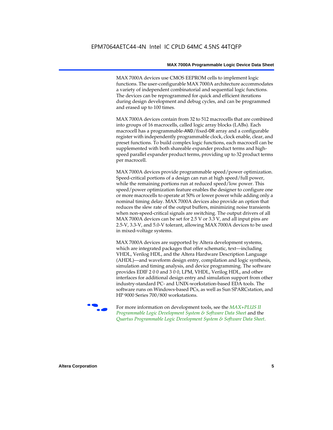MAX 7000A devices use CMOS EEPROM cells to implement logic functions. The user-configurable MAX 7000A architecture accommodates a variety of independent combinatorial and sequential logic functions. The devices can be reprogrammed for quick and efficient iterations during design development and debug cycles, and can be programmed and erased up to 100 times.

MAX 7000A devices contain from 32 to 512 macrocells that are combined into groups of 16 macrocells, called logic array blocks (LABs). Each macrocell has a programmable-AND/fixed-OR array and a configurable register with independently programmable clock, clock enable, clear, and preset functions. To build complex logic functions, each macrocell can be supplemented with both shareable expander product terms and highspeed parallel expander product terms, providing up to 32 product terms per macrocell.

MAX 7000A devices provide programmable speed/power optimization. Speed-critical portions of a design can run at high speed/full power, while the remaining portions run at reduced speed/low power. This speed/power optimization feature enables the designer to configure one or more macrocells to operate at 50% or lower power while adding only a nominal timing delay. MAX 7000A devices also provide an option that reduces the slew rate of the output buffers, minimizing noise transients when non-speed-critical signals are switching. The output drivers of all MAX 7000A devices can be set for 2.5 V or 3.3 V, and all input pins are 2.5-V, 3.3-V, and 5.0-V tolerant, allowing MAX 7000A devices to be used in mixed-voltage systems.

MAX 7000A devices are supported by Altera development systems, which are integrated packages that offer schematic, text—including VHDL, Verilog HDL, and the Altera Hardware Description Language (AHDL)—and waveform design entry, compilation and logic synthesis, simulation and timing analysis, and device programming. The software provides EDIF 2 0 0 and 3 0 0, LPM, VHDL, Verilog HDL, and other interfaces for additional design entry and simulation support from other industry-standard PC- and UNIX-workstation-based EDA tools. The software runs on Windows-based PCs, as well as Sun SPARCstation, and HP 9000 Series 700/800 workstations.

**For more information on development tools, see the** *MAX+PLUS II Programmable Logic Development System & Software Data Sheet* and the *Quartus Programmable Logic Development System & Software Data Sheet*.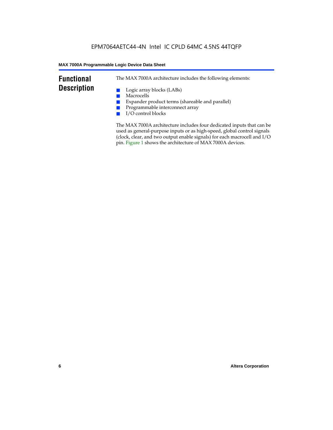### **Functional Description**

The MAX 7000A architecture includes the following elements:

- Logic array blocks (LABs)
- Macrocells
- Expander product terms (shareable and parallel)
- Programmable interconnect array
- I/O control blocks

The MAX 7000A architecture includes four dedicated inputs that can be used as general-purpose inputs or as high-speed, global control signals (clock, clear, and two output enable signals) for each macrocell and I/O pin. Figure 1 shows the architecture of MAX 7000A devices.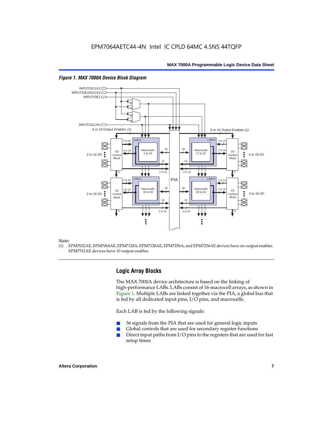

#### *Figure 1. MAX 7000A Device Block Diagram*

#### *Note:*

(1) EPM7032AE, EPM7064AE, EPM7128A, EPM7128AE, EPM7256A, and EPM7256AE devices have six output enables. EPM7512AE devices have 10 output enables.

#### **Logic Array Blocks**

The MAX 7000A device architecture is based on the linking of high-performance LABs. LABs consist of 16-macrocell arrays, as shown in Figure 1. Multiple LABs are linked together via the PIA, a global bus that is fed by all dedicated input pins, I/O pins, and macrocells.

Each LAB is fed by the following signals:

- 36 signals from the PIA that are used for general logic inputs
- Global controls that are used for secondary register functions
- Direct input paths from  $I/O$  pins to the registers that are used for fast setup times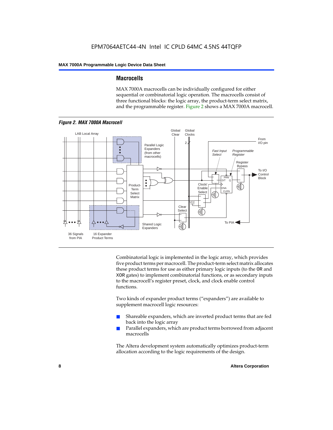#### **Macrocells**

MAX 7000A macrocells can be individually configured for either sequential or combinatorial logic operation. The macrocells consist of three functional blocks: the logic array, the product-term select matrix, and the programmable register. Figure 2 shows a MAX 7000A macrocell.



Combinatorial logic is implemented in the logic array, which provides five product terms per macrocell. The product-term select matrix allocates these product terms for use as either primary logic inputs (to the OR and XOR gates) to implement combinatorial functions, or as secondary inputs to the macrocell's register preset, clock, and clock enable control functions.

Two kinds of expander product terms ("expanders") are available to supplement macrocell logic resources:

- Shareable expanders, which are inverted product terms that are fed back into the logic array
- Parallel expanders, which are product terms borrowed from adjacent macrocells

The Altera development system automatically optimizes product-term allocation according to the logic requirements of the design.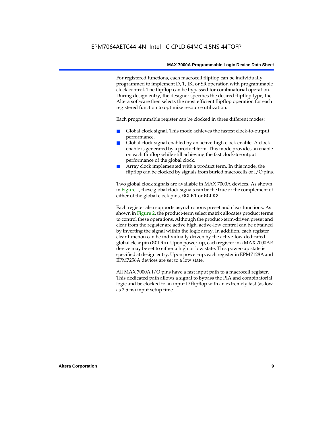For registered functions, each macrocell flipflop can be individually programmed to implement D, T, JK, or SR operation with programmable clock control. The flipflop can be bypassed for combinatorial operation. During design entry, the designer specifies the desired flipflop type; the Altera software then selects the most efficient flipflop operation for each registered function to optimize resource utilization.

Each programmable register can be clocked in three different modes:

- Global clock signal. This mode achieves the fastest clock-to-output performance.
- Global clock signal enabled by an active-high clock enable. A clock enable is generated by a product term. This mode provides an enable on each flipflop while still achieving the fast clock-to-output performance of the global clock.
- Array clock implemented with a product term. In this mode, the flipflop can be clocked by signals from buried macrocells or I/O pins.

Two global clock signals are available in MAX 7000A devices. As shown in Figure 1, these global clock signals can be the true or the complement of either of the global clock pins, GCLK1 or GCLK2.

Each register also supports asynchronous preset and clear functions. As shown in Figure 2, the product-term select matrix allocates product terms to control these operations. Although the product-term-driven preset and clear from the register are active high, active-low control can be obtained by inverting the signal within the logic array. In addition, each register clear function can be individually driven by the active-low dedicated global clear pin (GCLRn). Upon power-up, each register in a MAX 7000AE device may be set to either a high or low state. This power-up state is specified at design entry. Upon power-up, each register in EPM7128A and EPM7256A devices are set to a low state.

All MAX 7000A I/O pins have a fast input path to a macrocell register. This dedicated path allows a signal to bypass the PIA and combinatorial logic and be clocked to an input D flipflop with an extremely fast (as low as 2.5 ns) input setup time.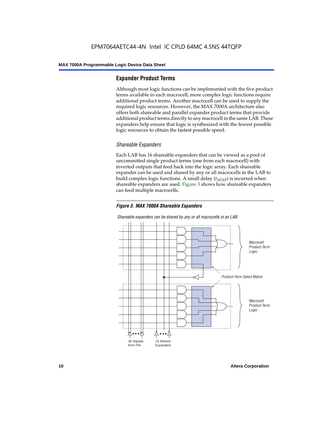#### **Expander Product Terms**

Although most logic functions can be implemented with the five product terms available in each macrocell, more complex logic functions require additional product terms. Another macrocell can be used to supply the required logic resources. However, the MAX 7000A architecture also offers both shareable and parallel expander product terms that provide additional product terms directly to any macrocell in the same LAB. These expanders help ensure that logic is synthesized with the fewest possible logic resources to obtain the fastest possible speed.

#### *Shareable Expanders*

Each LAB has 16 shareable expanders that can be viewed as a pool of uncommitted single product terms (one from each macrocell) with inverted outputs that feed back into the logic array. Each shareable expander can be used and shared by any or all macrocells in the LAB to build complex logic functions. A small delay  $(t_{SFXP})$  is incurred when shareable expanders are used. Figure 3 shows how shareable expanders can feed multiple macrocells.



**Macrocell** Product-Term Logic Product-Term Select Matrix **Macrocell** Product-Term Logic 36 Signals from PIA 16 Shared Expanders

*Shareable expanders can be shared by any or all macrocells in an LAB.*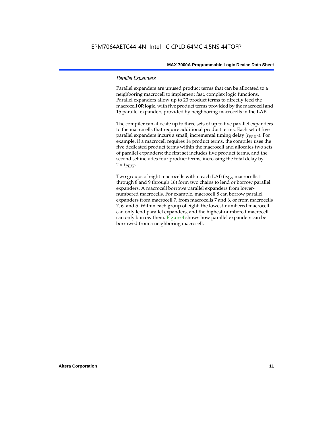#### *Parallel Expanders*

Parallel expanders are unused product terms that can be allocated to a neighboring macrocell to implement fast, complex logic functions. Parallel expanders allow up to 20 product terms to directly feed the macrocell OR logic, with five product terms provided by the macrocell and 15 parallel expanders provided by neighboring macrocells in the LAB.

The compiler can allocate up to three sets of up to five parallel expanders to the macrocells that require additional product terms. Each set of five parallel expanders incurs a small, incremental timing delay (*t<sub>PEXP</sub>*). For example, if a macrocell requires 14 product terms, the compiler uses the five dedicated product terms within the macrocell and allocates two sets of parallel expanders; the first set includes five product terms, and the second set includes four product terms, increasing the total delay by  $2 \times t_{PEXP}$ .

Two groups of eight macrocells within each LAB (e.g., macrocells 1 through 8 and 9 through 16) form two chains to lend or borrow parallel expanders. A macrocell borrows parallel expanders from lowernumbered macrocells. For example, macrocell 8 can borrow parallel expanders from macrocell 7, from macrocells 7 and 6, or from macrocells 7, 6, and 5. Within each group of eight, the lowest-numbered macrocell can only lend parallel expanders, and the highest-numbered macrocell can only borrow them. Figure 4 shows how parallel expanders can be borrowed from a neighboring macrocell.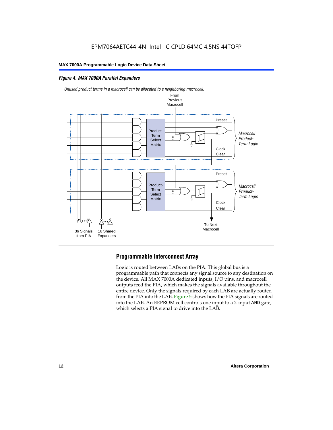#### *Figure 4. MAX 7000A Parallel Expanders*





#### **Programmable Interconnect Array**

Logic is routed between LABs on the PIA. This global bus is a programmable path that connects any signal source to any destination on the device. All MAX 7000A dedicated inputs, I/O pins, and macrocell outputs feed the PIA, which makes the signals available throughout the entire device. Only the signals required by each LAB are actually routed from the PIA into the LAB. Figure 5 shows how the PIA signals are routed into the LAB. An EEPROM cell controls one input to a 2-input AND gate, which selects a PIA signal to drive into the LAB.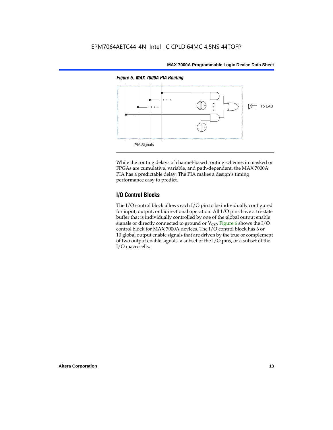

While the routing delays of channel-based routing schemes in masked or FPGAs are cumulative, variable, and path-dependent, the MAX 7000A PIA has a predictable delay. The PIA makes a design's timing performance easy to predict.

### **I/O Control Blocks**

The I/O control block allows each I/O pin to be individually configured for input, output, or bidirectional operation. All I/O pins have a tri-state buffer that is individually controlled by one of the global output enable signals or directly connected to ground or  $V_{CC}$ . Figure 6 shows the I/O control block for MAX 7000A devices. The I/O control block has 6 or 10 global output enable signals that are driven by the true or complement of two output enable signals, a subset of the I/O pins, or a subset of the I/O macrocells.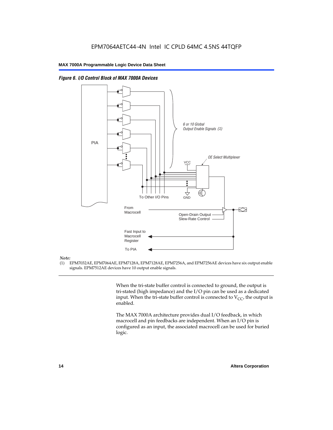



#### *Note:*

(1) EPM7032AE, EPM7064AE, EPM7128A, EPM7128AE, EPM7256A, and EPM7256AE devices have six output enable signals. EPM7512AE devices have 10 output enable signals.

> When the tri-state buffer control is connected to ground, the output is tri-stated (high impedance) and the I/O pin can be used as a dedicated input. When the tri-state buffer control is connected to  $V_{CC}$ , the output is enabled.

The MAX 7000A architecture provides dual I/O feedback, in which macrocell and pin feedbacks are independent. When an I/O pin is configured as an input, the associated macrocell can be used for buried logic.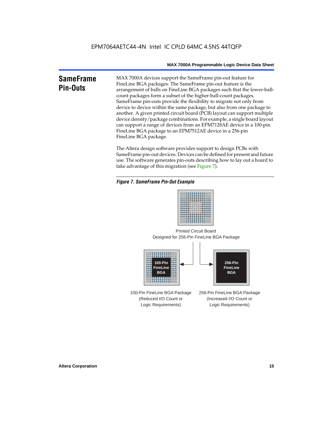### **SameFrame Pin-Outs**

MAX 7000A devices support the SameFrame pin-out feature for FineLine BGA packages. The SameFrame pin-out feature is the arrangement of balls on FineLine BGA packages such that the lower-ballcount packages form a subset of the higher-ball-count packages. SameFrame pin-outs provide the flexibility to migrate not only from device to device within the same package, but also from one package to another. A given printed circuit board (PCB) layout can support multiple device density/package combinations. For example, a single board layout can support a range of devices from an EPM7128AE device in a 100-pin FineLine BGA package to an EPM7512AE device in a 256-pin FineLine BGA package.

The Altera design software provides support to design PCBs with SameFrame pin-out devices. Devices can be defined for present and future use. The software generates pin-outs describing how to lay out a board to take advantage of this migration (see Figure 7).

#### *Figure 7. SameFrame Pin-Out Example*



Designed for 256-Pin FineLine BGA Package Printed Circuit Board



100-Pin FineLine BGA Package (Reduced I/O Count or Logic Requirements) 256-Pin FineLine BGA Package (Increased I/O Count or Logic Requirements)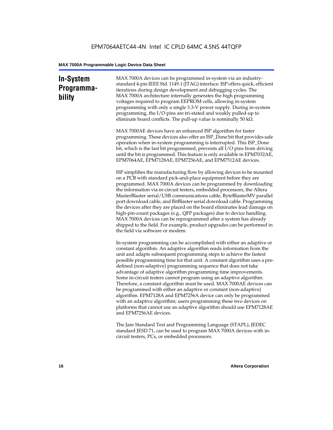### **In-System Programmability**

MAX 7000A devices can be programmed in-system via an industrystandard 4-pin IEEE Std. 1149.1 (JTAG) interface. ISP offers quick, efficient iterations during design development and debugging cycles. The MAX 7000A architecture internally generates the high programming voltages required to program EEPROM cells, allowing in-system programming with only a single 3.3-V power supply. During in-system programming, the I/O pins are tri-stated and weakly pulled-up to eliminate board conflicts. The pull-up value is nominally 50 k $\Omega$ .

MAX 7000AE devices have an enhanced ISP algorithm for faster programming. These devices also offer an ISP\_Done bit that provides safe operation when in-system programming is interrupted. This ISP\_Done bit, which is the last bit programmed, prevents all I/O pins from driving until the bit is programmed. This feature is only available in EPM7032AE, EPM7064AE, EPM7128AE, EPM7256AE, and EPM7512AE devices.

ISP simplifies the manufacturing flow by allowing devices to be mounted on a PCB with standard pick-and-place equipment before they are programmed. MAX 7000A devices can be programmed by downloading the information via in-circuit testers, embedded processors, the Altera MasterBlaster serial/USB communications cable, ByteBlasterMV parallel port download cable, and BitBlaster serial download cable. Programming the devices after they are placed on the board eliminates lead damage on high-pin-count packages (e.g., QFP packages) due to device handling. MAX 7000A devices can be reprogrammed after a system has already shipped to the field. For example, product upgrades can be performed in the field via software or modem.

In-system programming can be accomplished with either an adaptive or constant algorithm. An adaptive algorithm reads information from the unit and adapts subsequent programming steps to achieve the fastest possible programming time for that unit. A constant algorithm uses a predefined (non-adaptive) programming sequence that does not take advantage of adaptive algorithm programming time improvements. Some in-circuit testers cannot program using an adaptive algorithm. Therefore, a constant algorithm must be used. MAX 7000AE devices can be programmed with either an adaptive or constant (non-adaptive) algorithm. EPM7128A and EPM7256A device can only be programmed with an adaptive algorithm; users programming these two devices on platforms that cannot use an adaptive algorithm should use EPM7128AE and EPM7256AE devices.

The Jam Standard Test and Programming Language (STAPL), JEDEC standard JESD 71, can be used to program MAX 7000A devices with incircuit testers, PCs, or embedded processors.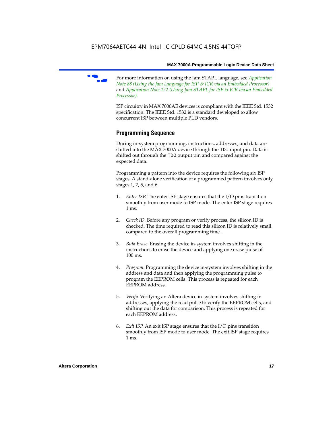

f For more information on using the Jam STAPL language, see *Application Note 88 (Using the Jam Language for ISP & ICR via an Embedded Processor)*  and *Application Note 122 (Using Jam STAPL for ISP & ICR via an Embedded Processor)*.

ISP circuitry in MAX 7000AE devices is compliant with the IEEE Std. 1532 specification. The IEEE Std. 1532 is a standard developed to allow concurrent ISP between multiple PLD vendors.

### **Programming Sequence**

During in-system programming, instructions, addresses, and data are shifted into the MAX 7000A device through the TDI input pin. Data is shifted out through the TDO output pin and compared against the expected data.

Programming a pattern into the device requires the following six ISP stages. A stand-alone verification of a programmed pattern involves only stages 1, 2, 5, and 6.

- 1. *Enter ISP*. The enter ISP stage ensures that the I/O pins transition smoothly from user mode to ISP mode. The enter ISP stage requires 1 ms.
- 2. *Check ID*. Before any program or verify process, the silicon ID is checked. The time required to read this silicon ID is relatively small compared to the overall programming time.
- 3. *Bulk Erase*. Erasing the device in-system involves shifting in the instructions to erase the device and applying one erase pulse of 100 ms.
- 4. *Program*. Programming the device in-system involves shifting in the address and data and then applying the programming pulse to program the EEPROM cells. This process is repeated for each EEPROM address.
- 5. *Verify*. Verifying an Altera device in-system involves shifting in addresses, applying the read pulse to verify the EEPROM cells, and shifting out the data for comparison. This process is repeated for each EEPROM address.
- 6. *Exit ISP*. An exit ISP stage ensures that the I/O pins transition smoothly from ISP mode to user mode. The exit ISP stage requires 1 ms.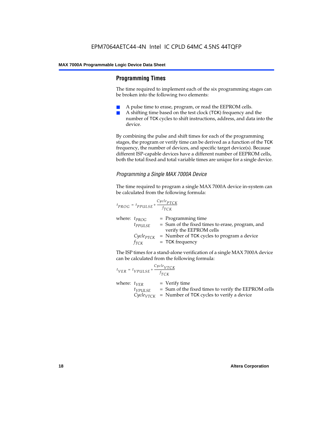#### **Programming Times**

The time required to implement each of the six programming stages can be broken into the following two elements:

- A pulse time to erase, program, or read the EEPROM cells.
- A shifting time based on the test clock (TCK) frequency and the number of TCK cycles to shift instructions, address, and data into the device.

By combining the pulse and shift times for each of the programming stages, the program or verify time can be derived as a function of the TCK frequency, the number of devices, and specific target device(s). Because different ISP-capable devices have a different number of EEPROM cells, both the total fixed and total variable times are unique for a single device.

#### *Programming a Single MAX 7000A Device*

The time required to program a single MAX 7000A device in-system can be calculated from the following formula:

$$
t_{PROG} = t_{PPULSE} + \frac{c_{ycle_{PTCK}}}{f_{TCK}}
$$
  
where:  $t_{PROG}$  = Programming time  
 $t_{PPULSE}$  = Sum of the fixed times to erase, program, and  
verify the EEPROM cells  
 $C_{ycle_{PTCK}}$  = Number of TCK cycles to program a device  
 $f_{TCK}$  = TCK frequency

The ISP times for a stand-alone verification of a single MAX 7000A device can be calculated from the following formula:

| $t_{VER} = t_{VPULSE} + \frac{Cycle_{VTCK}}{f_{TCK}}$ |                                                                                                                                 |
|-------------------------------------------------------|---------------------------------------------------------------------------------------------------------------------------------|
| where: $t_{VER}$<br>$t_{VPULSE}$                      | $=$ Verify time<br>= Sum of the fixed times to verify the EEPROM cells<br>$CycleVTCK$ = Number of TCK cycles to verify a device |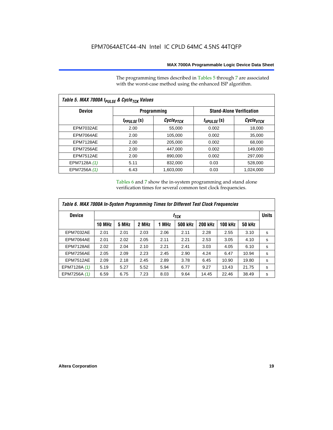The programming times described in Tables 5 through 7 are associated with the worst-case method using the enhanced ISP algorithm.

| Table 5. MAX 7000A t <sub>PULSE</sub> & Cycle <sub>TCK</sub> Values |                 |                       |                 |                                 |  |  |  |  |
|---------------------------------------------------------------------|-----------------|-----------------------|-----------------|---------------------------------|--|--|--|--|
| <b>Device</b>                                                       |                 | <b>Programming</b>    |                 | <b>Stand-Alone Verification</b> |  |  |  |  |
|                                                                     | $t_{PPULSE}(s)$ | Cycle <sub>PTCK</sub> | $t_{VPULSE}(s)$ | Cycle <sub>vTCK</sub>           |  |  |  |  |
| <b>EPM7032AE</b>                                                    | 2.00            | 55,000                | 0.002           | 18,000                          |  |  |  |  |
| EPM7064AE                                                           | 2.00            | 105,000               | 0.002           | 35,000                          |  |  |  |  |
| EPM7128AE                                                           | 2.00            | 205,000               | 0.002           | 68,000                          |  |  |  |  |
| EPM7256AE                                                           | 2.00            | 447,000               | 0.002           | 149.000                         |  |  |  |  |
| <b>EPM7512AE</b>                                                    | 2.00            | 890,000               | 0.002           | 297,000                         |  |  |  |  |
| EPM7128A (1)                                                        | 5.11            | 832,000               | 0.03            | 528,000                         |  |  |  |  |
| EPM7256A (1)                                                        | 6.43            | 1.603.000             | 0.03            | 1,024,000                       |  |  |  |  |

Tables 6 and 7 show the in-system programming and stand alone verification times for several common test clock frequencies.

| Table 6. MAX 7000A In-System Programming Times for Different Test Clock Frequencies |               |                  |       |       |         |                |                |               |              |
|-------------------------------------------------------------------------------------|---------------|------------------|-------|-------|---------|----------------|----------------|---------------|--------------|
| <b>Device</b>                                                                       |               | f <sub>ТСК</sub> |       |       |         |                |                |               | <b>Units</b> |
|                                                                                     | <b>10 MHz</b> | 5 MHz            | 2 MHz | 1 MHz | 500 kHz | <b>200 kHz</b> | <b>100 kHz</b> | <b>50 kHz</b> |              |
| <b>EPM7032AE</b>                                                                    | 2.01          | 2.01             | 2.03  | 2.06  | 2.11    | 2.28           | 2.55           | 3.10          | s            |
| EPM7064AE                                                                           | 2.01          | 2.02             | 2.05  | 2.11  | 2.21    | 2.53           | 3.05           | 4.10          | s            |
| EPM7128AE                                                                           | 2.02          | 2.04             | 2.10  | 2.21  | 2.41    | 3.03           | 4.05           | 6.10          | s            |
| EPM7256AE                                                                           | 2.05          | 2.09             | 2.23  | 2.45  | 2.90    | 4.24           | 6.47           | 10.94         | s            |
| <b>EPM7512AE</b>                                                                    | 2.09          | 2.18             | 2.45  | 2.89  | 3.78    | 6.45           | 10.90          | 19.80         | s            |
| EPM7128A (1)                                                                        | 5.19          | 5.27             | 5.52  | 5.94  | 6.77    | 9.27           | 13.43          | 21.75         | s            |
| EPM7256A (1)                                                                        | 6.59          | 6.75             | 7.23  | 8.03  | 9.64    | 14.45          | 22.46          | 38.49         | s            |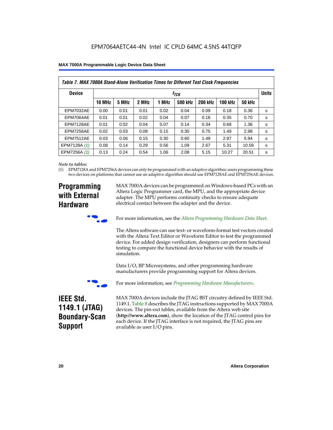|  | MAX 7000A Programmable Logic Device Data Sheet |  |  |  |  |
|--|------------------------------------------------|--|--|--|--|
|--|------------------------------------------------|--|--|--|--|

| Table 7. MAX 7000A Stand-Alone Verification Times for Different Test Clock Frequencies |               |                           |       |       |                |                |                |               |   |
|----------------------------------------------------------------------------------------|---------------|---------------------------|-------|-------|----------------|----------------|----------------|---------------|---|
| <b>Device</b>                                                                          |               | <b>Units</b><br>$f_{TCK}$ |       |       |                |                |                |               |   |
|                                                                                        | <b>10 MHz</b> | 5 MHz                     | 2 MHz | 1 MHz | <b>500 kHz</b> | <b>200 kHz</b> | <b>100 kHz</b> | <b>50 kHz</b> |   |
| <b>EPM7032AE</b>                                                                       | 0.00          | 0.01                      | 0.01  | 0.02  | 0.04           | 0.09           | 0.18           | 0.36          | s |
| <b>EPM7064AE</b>                                                                       | 0.01          | 0.01                      | 0.02  | 0.04  | 0.07           | 0.18           | 0.35           | 0.70          | s |
| EPM7128AE                                                                              | 0.01          | 0.02                      | 0.04  | 0.07  | 0.14           | 0.34           | 0.68           | 1.36          | s |
| EPM7256AE                                                                              | 0.02          | 0.03                      | 0.08  | 0.15  | 0.30           | 0.75           | 1.49           | 2.98          | s |
| <b>EPM7512AE</b>                                                                       | 0.03          | 0.06                      | 0.15  | 0.30  | 0.60           | 1.49           | 2.97           | 5.94          | s |
| EPM7128A (1)                                                                           | 0.08          | 0.14                      | 0.29  | 0.56  | 1.09           | 2.67           | 5.31           | 10.59         | s |
| EPM7256A (1)                                                                           | 0.13          | 0.24                      | 0.54  | 1.06  | 2.08           | 5.15           | 10.27          | 20.51         | s |

#### *Note to tables:*

(1) EPM7128A and EPM7256A devices can only be programmed with an adaptive algorithm; users programming these two devices on platforms that cannot use an adaptive algorithm should use EPM7128AE and EPM7256AE devices.

### **Programming with External Hardware**

MAX 7000A devices can be programmed on Windows-based PCs with an Altera Logic Programmer card, the MPU, and the appropriate device adapter. The MPU performs continuity checks to ensure adequate electrical contact between the adapter and the device.



For more information, see the *Altera Programming Hardware Data Sheet*.

The Altera software can use text- or waveform-format test vectors created with the Altera Text Editor or Waveform Editor to test the programmed device. For added design verification, designers can perform functional testing to compare the functional device behavior with the results of simulation.

Data I/O, BP Microsystems, and other programming hardware manufacturers provide programming support for Altera devices.



For more information, see *Programming Hardware Manufacturers*.

### **IEEE Std. 1149.1 (JTAG) Boundary-Scan Support**

MAX 7000A devices include the JTAG BST circuitry defined by IEEE Std. 1149.1. Table 8 describes the JTAG instructions supported by MAX 7000A devices. The pin-out tables, available from the Altera web site (**http://www.altera.com**), show the location of the JTAG control pins for each device. If the JTAG interface is not required, the JTAG pins are available as user I/O pins.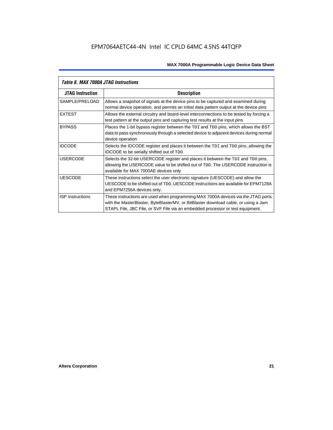| Table 8. MAX 7000A JTAG Instructions |                                                                                                                                                                                                                                                            |  |  |  |  |  |
|--------------------------------------|------------------------------------------------------------------------------------------------------------------------------------------------------------------------------------------------------------------------------------------------------------|--|--|--|--|--|
| <b>JTAG Instruction</b>              | <b>Description</b>                                                                                                                                                                                                                                         |  |  |  |  |  |
| SAMPLE/PRELOAD                       | Allows a snapshot of signals at the device pins to be captured and examined during<br>normal device operation, and permits an initial data pattern output at the device pins                                                                               |  |  |  |  |  |
| <b>EXTEST</b>                        | Allows the external circuitry and board-level interconnections to be tested by forcing a<br>test pattern at the output pins and capturing test results at the input pins                                                                                   |  |  |  |  |  |
| <b>BYPASS</b>                        | Places the 1-bit bypass register between the TDI and TDO pins, which allows the BST<br>data to pass synchronously through a selected device to adjacent devices during normal<br>device operation                                                          |  |  |  |  |  |
| <b>IDCODE</b>                        | Selects the IDCODE register and places it between the TDI and TDO pins, allowing the<br><b>IDCODE</b> to be serially shifted out of TDO                                                                                                                    |  |  |  |  |  |
| <b>USERCODE</b>                      | Selects the 32-bit USERCODE register and places it between the TDI and TDO pins,<br>allowing the USERCODE value to be shifted out of TDO. The USERCODE instruction is<br>available for MAX 7000AE devices only                                             |  |  |  |  |  |
| <b>UESCODE</b>                       | These instructions select the user electronic signature (UESCODE) and allow the<br>UESCODE to be shifted out of TDO, UESCODE instructions are available for EPM7128A<br>and EPM7256A devices only.                                                         |  |  |  |  |  |
| <b>ISP Instructions</b>              | These instructions are used when programming MAX 7000A devices via the JTAG ports<br>with the MasterBlaster, ByteBlasterMV, or BitBlaster download cable, or using a Jam<br>STAPL File, JBC File, or SVF File via an embedded processor or test equipment. |  |  |  |  |  |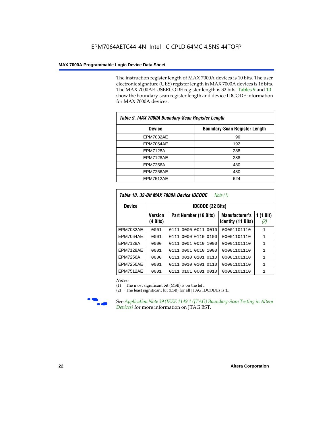The instruction register length of MAX 7000A devices is 10 bits. The user electronic signature (UES) register length in MAX 7000A devices is 16 bits. The MAX 7000AE USERCODE register length is 32 bits. Tables 9 and 10 show the boundary-scan register length and device IDCODE information for MAX 7000A devices.

| Table 9. MAX 7000A Boundary-Scan Register Length |                                      |  |  |  |  |
|--------------------------------------------------|--------------------------------------|--|--|--|--|
| <b>Device</b>                                    | <b>Boundary-Scan Register Length</b> |  |  |  |  |
| <b>EPM7032AE</b>                                 | 96                                   |  |  |  |  |
| EPM7064AE                                        | 192                                  |  |  |  |  |
| <b>EPM7128A</b>                                  | 288                                  |  |  |  |  |
| EPM7128AE                                        | 288                                  |  |  |  |  |
| <b>EPM7256A</b>                                  | 480                                  |  |  |  |  |
| EPM7256AE                                        | 480                                  |  |  |  |  |
| EPM7512AE                                        | 624                                  |  |  |  |  |

| Table 10. 32-Bit MAX 7000A Device IDCODE<br>Note (1) |                            |                           |                                                    |                               |  |  |  |  |  |  |
|------------------------------------------------------|----------------------------|---------------------------|----------------------------------------------------|-------------------------------|--|--|--|--|--|--|
| <b>Device</b>                                        |                            | <b>IDCODE (32 Bits)</b>   |                                                    |                               |  |  |  |  |  |  |
|                                                      | <b>Version</b><br>(4 Bits) | Part Number (16 Bits)     | <b>Manufacturer's</b><br><b>Identity (11 Bits)</b> | $(1 \text{ Bit})$<br>1<br>(2) |  |  |  |  |  |  |
| <b>EPM7032AE</b>                                     | 0001                       | 0000 0011<br>0111<br>0010 | 00001101110                                        | 1                             |  |  |  |  |  |  |
| EPM7064AE                                            | 0001                       | 0111 0000 0110 0100       | 00001101110                                        | 1                             |  |  |  |  |  |  |
| <b>EPM7128A</b>                                      | 0000                       | 0111 0001 0010 1000       | 00001101110                                        | $\mathbf{1}$                  |  |  |  |  |  |  |
| EPM7128AE                                            | 0001                       | 0111 0001 0010 1000       | 00001101110                                        | $\mathbf{1}$                  |  |  |  |  |  |  |
| EPM7256A                                             | 0000                       | 0010 0101<br>0110<br>0111 | 00001101110                                        | 1                             |  |  |  |  |  |  |
| EPM7256AE                                            | 0001                       | 0010 0101<br>0110<br>0111 | 00001101110                                        | $\mathbf{1}$                  |  |  |  |  |  |  |
| <b>EPM7512AE</b>                                     | 0001                       | 0101 0001 0010<br>0111    | 00001101110                                        | 1                             |  |  |  |  |  |  |

#### *Notes:*

(1) The most significant bit (MSB) is on the left.

(2) The least significant bit (LSB) for all JTAG IDCODEs is 1.



**f See Application Note 39 (IEEE 1149.1 (JTAG) Boundary-Scan Testing in Altera** *Devices)* for more information on JTAG BST.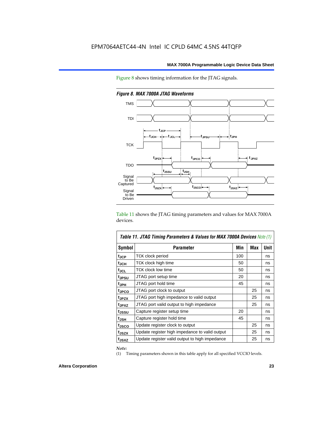Figure 8 shows timing information for the JTAG signals.



*Figure 8. MAX 7000A JTAG Waveforms*

Table 11 shows the JTAG timing parameters and values for MAX 7000A devices.

| Table 11. JTAG Timing Parameters & Values for MAX 7000A Devices Note (1) |                                                |     |            |             |  |  |  |  |  |
|--------------------------------------------------------------------------|------------------------------------------------|-----|------------|-------------|--|--|--|--|--|
| Symbol                                                                   | <b>Parameter</b>                               | Min | <b>Max</b> | <b>Unit</b> |  |  |  |  |  |
| t <sub>JCP</sub>                                                         | TCK clock period                               | 100 |            | ns          |  |  |  |  |  |
| t <sub>JCH</sub>                                                         | TCK clock high time                            | 50  |            | ns          |  |  |  |  |  |
| tjcl                                                                     | TCK clock low time                             | 50  |            | ns          |  |  |  |  |  |
| t <sub>JPSU</sub>                                                        | JTAG port setup time                           | 20  |            | ns          |  |  |  |  |  |
| t <sub>JPH</sub>                                                         | JTAG port hold time                            | 45  |            | ns          |  |  |  |  |  |
| tjpco                                                                    | JTAG port clock to output                      |     | 25         | ns          |  |  |  |  |  |
| t <sub>JPZX</sub>                                                        | JTAG port high impedance to valid output       |     | 25         | ns          |  |  |  |  |  |
| t <sub>JPXZ</sub>                                                        | JTAG port valid output to high impedance       |     | 25         | ns          |  |  |  |  |  |
| tjssu                                                                    | Capture register setup time                    | 20  |            | ns          |  |  |  |  |  |
| $t_{JSH}$                                                                | Capture register hold time                     | 45  |            | ns          |  |  |  |  |  |
| t <sub>JSCO</sub>                                                        | Update register clock to output                |     | 25         | ns          |  |  |  |  |  |
| t <sub>JSZX</sub>                                                        | Update register high impedance to valid output |     | 25         | ns          |  |  |  |  |  |
| t <sub>JSXZ</sub>                                                        | Update register valid output to high impedance |     | 25         | ns          |  |  |  |  |  |

*Note:*

(1) Timing parameters shown in this table apply for all specified VCCIO levels.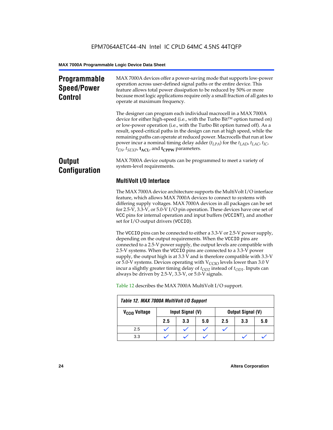### **Programmable Speed/Power Control**

MAX 7000A devices offer a power-saving mode that supports low-power operation across user-defined signal paths or the entire device. This feature allows total power dissipation to be reduced by 50% or more because most logic applications require only a small fraction of all gates to operate at maximum frequency.

The designer can program each individual macrocell in a MAX 7000A device for either high-speed (i.e., with the Turbo  $Bit^{TM}$  option turned on) or low-power operation (i.e., with the Turbo Bit option turned off). As a result, speed-critical paths in the design can run at high speed, while the remaining paths can operate at reduced power. Macrocells that run at low power incur a nominal timing delay adder (*tLPA*) for the *tLAD*, *tLAC*, *tIC*,  $t_{EN}$ ,  $t_{SEXP}$ ,  $t_{ACL}$ , and  $t_{CPPW}$  parameters.

### **Output Configuration**

MAX 7000A device outputs can be programmed to meet a variety of system-level requirements.

### **MultiVolt I/O Interface**

The MAX 7000A device architecture supports the MultiVolt I/O interface feature, which allows MAX 7000A devices to connect to systems with differing supply voltages. MAX 7000A devices in all packages can be set for 2.5-V, 3.3-V, or 5.0-V I/O pin operation. These devices have one set of VCC pins for internal operation and input buffers (VCCINT), and another set for I/O output drivers (VCCIO).

The VCCIO pins can be connected to either a 3.3-V or 2.5-V power supply, depending on the output requirements. When the VCCIO pins are connected to a 2.5-V power supply, the output levels are compatible with 2.5-V systems. When the VCCIO pins are connected to a 3.3-V power supply, the output high is at 3.3 V and is therefore compatible with 3.3-V or 5.0-V systems. Devices operating with  $V_{\text{CCIO}}$  levels lower than 3.0 V incur a slightly greater timing delay of  $t_{OD2}$  instead of  $t_{OD1}$ . Inputs can always be driven by 2.5-V, 3.3-V, or 5.0-V signals.

| Table 12. MAX 7000A MultiVolt I/O Support |     |                  |     |     |                          |     |  |  |
|-------------------------------------------|-----|------------------|-----|-----|--------------------------|-----|--|--|
| V <sub>CCIO</sub> Voltage                 |     | Input Signal (V) |     |     | <b>Output Signal (V)</b> |     |  |  |
|                                           | 2.5 | 3.3              | 5.0 | 2.5 | 3.3                      | 5.0 |  |  |
| 2.5                                       |     |                  |     |     |                          |     |  |  |
| 3.3                                       |     |                  |     |     |                          |     |  |  |

Table 12 describes the MAX 7000A MultiVolt I/O support.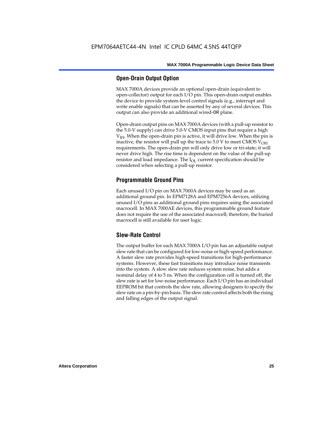#### **Open-Drain Output Option**

MAX 7000A devices provide an optional open-drain (equivalent to open-collector) output for each I/O pin. This open-drain output enables the device to provide system-level control signals (e.g., interrupt and write enable signals) that can be asserted by any of several devices. This output can also provide an additional wired-OR plane.

Open-drain output pins on MAX 7000A devices (with a pull-up resistor to the 5.0-V supply) can drive 5.0-V CMOS input pins that require a high  $V<sub>IH</sub>$ . When the open-drain pin is active, it will drive low. When the pin is inactive, the resistor will pull up the trace to  $5.0$  V to meet CMOS V<sub>OH</sub> requirements. The open-drain pin will only drive low or tri-state; it will never drive high. The rise time is dependent on the value of the pull-up resistor and load impedance. The  $I_{OL}$  current specification should be considered when selecting a pull-up resistor.

#### **Programmable Ground Pins**

Each unused I/O pin on MAX 7000A devices may be used as an additional ground pin. In EPM7128A and EPM7256A devices, utilizing unused I/O pins as additional ground pins requires using the associated macrocell. In MAX 7000AE devices, this programmable ground feature does not require the use of the associated macrocell; therefore, the buried macrocell is still available for user logic.

#### **Slew-Rate Control**

The output buffer for each MAX 7000A I/O pin has an adjustable output slew rate that can be configured for low-noise or high-speed performance. A faster slew rate provides high-speed transitions for high-performance systems. However, these fast transitions may introduce noise transients into the system. A slow slew rate reduces system noise, but adds a nominal delay of 4 to 5 ns. When the configuration cell is turned off, the slew rate is set for low-noise performance. Each I/O pin has an individual EEPROM bit that controls the slew rate, allowing designers to specify the slew rate on a pin-by-pin basis. The slew rate control affects both the rising and falling edges of the output signal.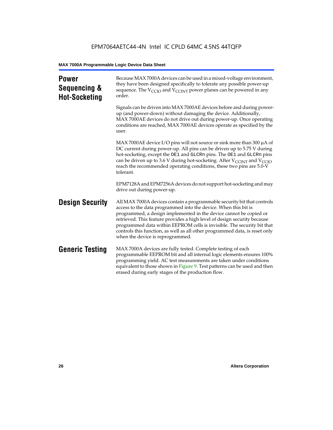| <b>Power</b><br>Sequencing &<br><b>Hot-Socketing</b> | Because MAX 7000A devices can be used in a mixed-voltage environment,<br>they have been designed specifically to tolerate any possible power-up<br>sequence. The $V_{\text{CCIO}}$ and $V_{\text{CCINT}}$ power planes can be powered in any<br>order.                                                                                                                                                                                                                                     |
|------------------------------------------------------|--------------------------------------------------------------------------------------------------------------------------------------------------------------------------------------------------------------------------------------------------------------------------------------------------------------------------------------------------------------------------------------------------------------------------------------------------------------------------------------------|
|                                                      | Signals can be driven into MAX 7000AE devices before and during power-<br>up (and power-down) without damaging the device. Additionally,<br>MAX 7000AE devices do not drive out during power-up. Once operating<br>conditions are reached, MAX 7000AE devices operate as specified by the<br>user.                                                                                                                                                                                         |
|                                                      | MAX 7000AE device I/O pins will not source or sink more than 300 µA of<br>DC current during power-up. All pins can be driven up to 5.75 V during<br>hot-socketing, except the OE1 and GLCRn pins. The OE1 and GLCRn pins<br>can be driven up to 3.6 V during hot-socketing. After $V_{\text{CCINT}}$ and $V_{\text{CCIO}}$<br>reach the recommended operating conditions, these two pins are 5.0-V<br>tolerant.                                                                            |
|                                                      | EPM7128A and EPM7256A devices do not support hot-socketing and may<br>drive out during power-up.                                                                                                                                                                                                                                                                                                                                                                                           |
| <b>Design Security</b>                               | All MAX 7000A devices contain a programmable security bit that controls<br>access to the data programmed into the device. When this bit is<br>programmed, a design implemented in the device cannot be copied or<br>retrieved. This feature provides a high level of design security because<br>programmed data within EEPROM cells is invisible. The security bit that<br>controls this function, as well as all other programmed data, is reset only<br>when the device is reprogrammed. |
| <b>Generic Testing</b>                               | MAX 7000A devices are fully tested. Complete testing of each<br>programmable EEPROM bit and all internal logic elements ensures 100%<br>programming yield. AC test measurements are taken under conditions<br>equivalent to those shown in Figure 9. Test patterns can be used and then<br>erased during early stages of the production flow.                                                                                                                                              |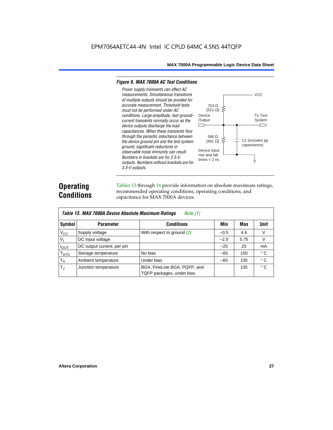#### *Figure 9. MAX 7000A AC Test Conditions*

*3.3-V outputs.*



### **Operating Conditions**

Tables 13 through 16 provide information on absolute maximum ratings, recommended operating conditions, operating conditions, and capacitance for MAX 7000A devices.

| Table 13. MAX 7000A Device Absolute Maximum Ratings<br>Note $(1)$ |                            |                                                           |        |      |              |  |  |  |  |  |
|-------------------------------------------------------------------|----------------------------|-----------------------------------------------------------|--------|------|--------------|--|--|--|--|--|
| Symbol                                                            | <b>Parameter</b>           | Conditions                                                | Min    | Max  | <b>Unit</b>  |  |  |  |  |  |
| $V_{CC}$                                                          | Supply voltage             | With respect to ground $(2)$                              | $-0.5$ | 4.6  | V            |  |  |  |  |  |
| V <sub>1</sub>                                                    | DC input voltage           |                                                           | $-2.0$ | 5.75 | $\vee$       |  |  |  |  |  |
| $I_{OUT}$                                                         | DC output current, per pin |                                                           | $-25$  | 25   | mA           |  |  |  |  |  |
| $T_{STG}$                                                         | Storage temperature        | No bias                                                   | $-65$  | 150  | $^{\circ}$ C |  |  |  |  |  |
| $T_A$                                                             | Ambient temperature        | Under bias                                                | $-65$  | 135  | $^{\circ}$ C |  |  |  |  |  |
| $T_{\rm J}$                                                       | Junction temperature       | BGA, FineLine BGA, PQFP, and<br>TQFP packages, under bias |        | 135  | $^{\circ}$ C |  |  |  |  |  |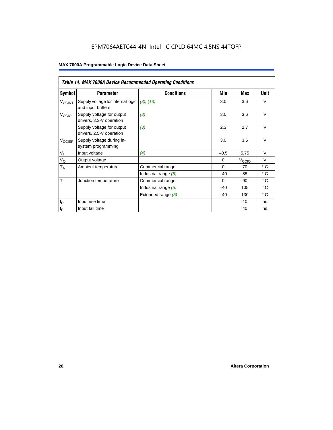### EPM7064AETC44-4N Intel IC CPLD 64MC 4.5NS 44TQFP

|                          | <b>Table 14. MAX 7000A Device Recommended Operating Conditions</b> |                      |          |                   |              |  |  |  |  |  |
|--------------------------|--------------------------------------------------------------------|----------------------|----------|-------------------|--------------|--|--|--|--|--|
| Symbol                   | <b>Parameter</b>                                                   | <b>Conditions</b>    | Min      | Max               | Unit         |  |  |  |  |  |
| <b>V<sub>CCINT</sub></b> | Supply voltage for internal logic<br>and input buffers             | (3), (13)            | 3.0      | 3.6               | $\vee$       |  |  |  |  |  |
| V <sub>CCIO</sub>        | Supply voltage for output<br>drivers, 3.3-V operation              | (3)                  | 3.0      | 3.6               | $\vee$       |  |  |  |  |  |
|                          | Supply voltage for output<br>drivers, 2.5-V operation              | (3)                  | 2.3      | 2.7               | $\vee$       |  |  |  |  |  |
| $V_{\text{CCISP}}$       | Supply voltage during in-<br>system programming                    |                      | 3.0      | 3.6               | $\vee$       |  |  |  |  |  |
| $V_{I}$                  | Input voltage                                                      | (4)                  | $-0.5$   | 5.75              | $\vee$       |  |  |  |  |  |
| $V_{\rm O}$              | Output voltage                                                     |                      | $\Omega$ | V <sub>ccio</sub> | $\vee$       |  |  |  |  |  |
| $T_A$                    | Ambient temperature                                                | Commercial range     | $\Omega$ | 70                | $^{\circ}$ C |  |  |  |  |  |
|                          |                                                                    | Industrial range (5) | $-40$    | 85                | $^{\circ}$ C |  |  |  |  |  |
| $T_{\rm J}$              | Junction temperature                                               | Commercial range     | $\Omega$ | 90                | $^{\circ}$ C |  |  |  |  |  |
|                          |                                                                    | Industrial range (5) | $-40$    | 105               | $^{\circ}$ C |  |  |  |  |  |
|                          |                                                                    | Extended range (5)   | $-40$    | 130               | $^{\circ}$ C |  |  |  |  |  |
| $t_{\mathsf{R}}$         | Input rise time                                                    |                      |          | 40                | ns           |  |  |  |  |  |
| $t_F$                    | Input fall time                                                    |                      |          | 40                | ns           |  |  |  |  |  |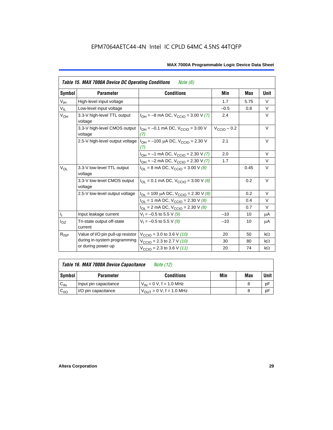|  | MAX 7000A Programmable Logic Device Data Sheet |  |  |  |  |
|--|------------------------------------------------|--|--|--|--|
|--|------------------------------------------------|--|--|--|--|

| <b>Table 15. MAX 7000A Device DC Operating Conditions</b><br><i>Note</i> $(6)$ |                                         |                                                                                        |                  |      |             |  |  |  |  |
|--------------------------------------------------------------------------------|-----------------------------------------|----------------------------------------------------------------------------------------|------------------|------|-------------|--|--|--|--|
| Symbol                                                                         | <b>Parameter</b>                        | <b>Conditions</b>                                                                      | Min              | Max  | <b>Unit</b> |  |  |  |  |
| V <sub>IH</sub>                                                                | High-level input voltage                |                                                                                        | 1.7              | 5.75 | $\vee$      |  |  |  |  |
| $V_{IL}$                                                                       | Low-level input voltage                 |                                                                                        | $-0.5$           | 0.8  | $\vee$      |  |  |  |  |
| $V_{OH}$                                                                       | 3.3-V high-level TTL output<br>voltage  | $I_{OH} = -8$ mA DC, $V_{CClO} = 3.00$ V (7)                                           | 2.4              |      | $\vee$      |  |  |  |  |
|                                                                                | 3.3-V high-level CMOS output<br>voltage | $I_{OH} = -0.1$ mA DC, $V_{CCD} = 3.00$ V<br>(7)                                       | $V_{CClO}$ – 0.2 |      | V           |  |  |  |  |
|                                                                                |                                         | 2.5-V high-level output voltage $ I_{OH} = -100 \mu A DC$ , $V_{CCIO} = 2.30 V$<br>(7) | 2.1              |      | V           |  |  |  |  |
|                                                                                |                                         | $I_{OH} = -1$ mA DC, $V_{CCIO} = 2.30$ V (7)                                           | 2.0              |      | V           |  |  |  |  |
|                                                                                |                                         | $I_{OH} = -2$ mA DC, $V_{CCIO} = 2.30$ V (7)                                           | 1.7              |      | V           |  |  |  |  |
| $V_{OL}$                                                                       | 3.3-V low-level TTL output<br>voltage   | $I_{\text{OI}}$ = 8 mA DC, $V_{\text{CCl}}$ = 3.00 V (8)                               |                  | 0.45 | V           |  |  |  |  |
|                                                                                | 3.3-V low-level CMOS output<br>voltage  | $I_{\text{OI}} = 0.1 \text{ mA DC}$ , $V_{\text{CCl}} = 3.00 \text{ V}$ (8)            |                  | 0.2  | V           |  |  |  |  |
|                                                                                | 2.5-V low-level output voltage          | $I_{OL}$ = 100 µA DC, $V_{CCIO}$ = 2.30 V (8)                                          |                  | 0.2  | $\vee$      |  |  |  |  |
|                                                                                |                                         | $I_{OL}$ = 1 mA DC, $V_{CCIO}$ = 2.30 V (8)                                            |                  | 0.4  | $\vee$      |  |  |  |  |
|                                                                                |                                         | $I_{OL}$ = 2 mA DC, $V_{CCIO}$ = 2.30 V (8)                                            |                  | 0.7  | $\vee$      |  |  |  |  |
| Ч.                                                                             | Input leakage current                   | $V_1 = -0.5$ to 5.5 V (9)                                                              | $-10$            | 10   | μA          |  |  |  |  |
| $I_{OZ}$                                                                       | Tri-state output off-state<br>current   | $V_1 = -0.5$ to 5.5 V (9)                                                              | $-10$            | 10   | μA          |  |  |  |  |
| $R_{\text{ISP}}$                                                               | Value of I/O pin pull-up resistor       | $V_{\text{CCIO}}$ = 3.0 to 3.6 V (10)                                                  | 20               | 50   | $k\Omega$   |  |  |  |  |
|                                                                                | during in-system programming            | $V_{\text{CCIO}}$ = 2.3 to 2.7 V (10)                                                  | 30               | 80   | $k\Omega$   |  |  |  |  |
|                                                                                | or during power-up                      | $V_{\text{CCIO}} = 2.3$ to 3.6 V (11)                                                  | 20               | 74   | $k\Omega$   |  |  |  |  |

|           | Table 16. MAX 7000A Device Capacitance<br><i>Note (12)</i> |                                     |     |     |      |  |  |  |  |
|-----------|------------------------------------------------------------|-------------------------------------|-----|-----|------|--|--|--|--|
| Symbol    | <b>Parameter</b>                                           | <b>Conditions</b>                   | Min | Max | Unit |  |  |  |  |
| $C_{IN}$  | Input pin capacitance                                      | $V_{IN} = 0 V$ , f = 1.0 MHz        |     |     | рF   |  |  |  |  |
| $C_{1/O}$ | I/O pin capacitance                                        | $V_{\text{OUT}} = 0 V, f = 1.0 MHz$ |     |     | рF   |  |  |  |  |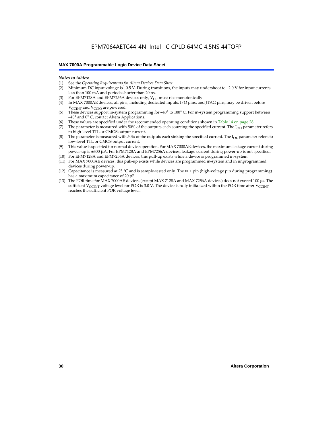#### *Notes to tables:*

- (1) See the *Operating Requirements for Altera Devices Data Sheet.*
- Minimum DC input voltage is –0.5 V. During transitions, the inputs may undershoot to –2.0 V for input currents less than 100 mA and periods shorter than 20 ns.
- (3) For EPM7128A and EPM7256A devices only,  $V_{CC}$  must rise monotonically.
- (4) In MAX 7000AE devices, all pins, including dedicated inputs, I/O pins, and JTAG pins, may be driven before  $V_{\text{CCLNT}}$  and  $V_{\text{CCLO}}$  are powered.
- (5) These devices support in-system programming for –40° to 100° C. For in-system programming support between –40° and 0° C, contact Altera Applications.
- (6) These values are specified under the recommended operating conditions shown in Table 14 on page 28.
- (7) The parameter is measured with 50% of the outputs each sourcing the specified current. The  $I_{OH}$  parameter refers to high-level TTL or CMOS output current.
- (8) The parameter is measured with 50% of the outputs each sinking the specified current. The  $I_{OL}$  parameter refers to low-level TTL or CMOS output current.
- (9) This value is specified for normal device operation. For MAX 7000AE devices, the maximum leakage current during power-up is ±300 µA. For EPM7128A and EPM7256A devices, leakage current during power-up is not specified.
- (10) For EPM7128A and EPM7256A devices, this pull-up exists while a device is programmed in-system.
- (11) For MAX 7000AE devices, this pull-up exists while devices are programmed in-system and in unprogrammed devices during power-up.
- (12) Capacitance is measured at 25 °C and is sample-tested only. The OE1 pin (high-voltage pin during programming) has a maximum capacitance of 20 pF.
- (13) The POR time for MAX 7000AE devices (except MAX 7128A and MAX 7256A devices) does not exceed 100 µs. The sufficient V<sub>CCINT</sub> voltage level for POR is 3.0 V. The device is fully initialized within the POR time after V<sub>CCINT</sub> reaches the sufficient POR voltage level.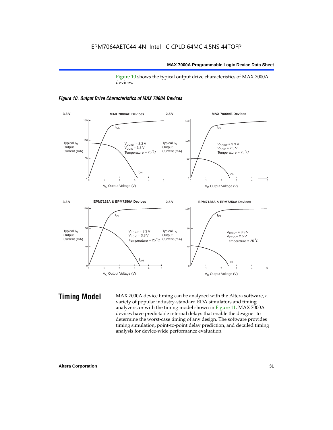Figure 10 shows the typical output drive characteristics of MAX 7000A devices.





**Timing Model** MAX 7000A device timing can be analyzed with the Altera software, a variety of popular industry-standard EDA simulators and timing analyzers, or with the timing model shown in Figure 11. MAX 7000A devices have predictable internal delays that enable the designer to determine the worst-case timing of any design. The software provides timing simulation, point-to-point delay prediction, and detailed timing analysis for device-wide performance evaluation.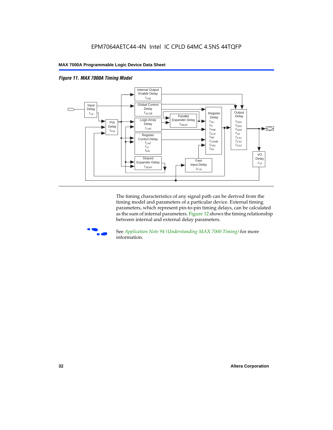



The timing characteristics of any signal path can be derived from the timing model and parameters of a particular device. External timing parameters, which represent pin-to-pin timing delays, can be calculated as the sum of internal parameters. Figure 12 shows the timing relationship between internal and external delay parameters.



f See *Application Note 94 (Understanding MAX 7000 Timing)* for more information.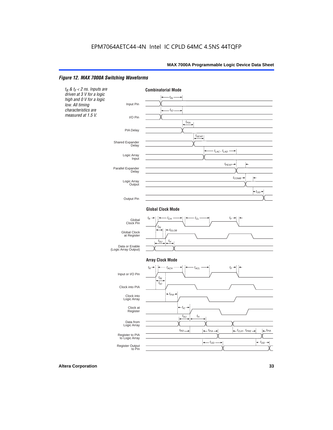#### *Figure 12. MAX 7000A Switching Waveforms*

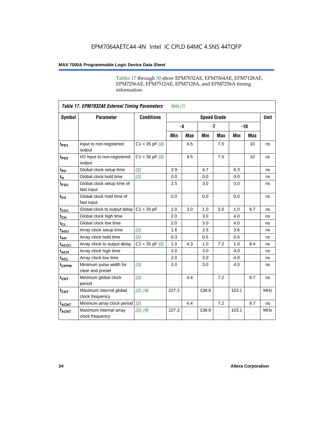Tables 17 through 30 show EPM7032AE, EPM7064AE, EPM7128AE, EPM7256AE, EPM7512AE, EPM7128A, and EPM7256A timing information.

|                         | <b>Table 17. EPM7032AE External Timing Parameters</b><br>Note $(1)$ |                    |       |            |                    |            |       |       |             |
|-------------------------|---------------------------------------------------------------------|--------------------|-------|------------|--------------------|------------|-------|-------|-------------|
| Symbol                  | <b>Parameter</b>                                                    | <b>Conditions</b>  |       |            | <b>Speed Grade</b> |            |       |       | <b>Unit</b> |
|                         |                                                                     |                    |       | $-4$       |                    | $-7$       |       | $-10$ |             |
|                         |                                                                     |                    | Min   | <b>Max</b> | Min                | <b>Max</b> | Min   | Max   |             |
| t <sub>PD1</sub>        | Input to non-registered<br>output                                   | $C1 = 35$ pF $(2)$ |       | 4.5        |                    | 7.5        |       | 10    | ns          |
| $t_{PD2}$               | I/O input to non-registered<br>output                               | $C1 = 35 pF(2)$    |       | 4.5        |                    | 7.5        |       | 10    | ns          |
| $t_{\text{SU}}$         | Global clock setup time                                             | (2)                | 2.9   |            | 4.7                |            | 6.3   |       | ns          |
| $t_H$                   | Global clock hold time                                              | (2)                | 0.0   |            | 0.0                |            | 0.0   |       | ns          |
| t <sub>FSU</sub>        | Global clock setup time of<br>fast input                            |                    | 2.5   |            | 3.0                |            | 3.0   |       | ns          |
| $t_{FH}$                | Global clock hold time of<br>fast input                             |                    | 0.0   |            | 0.0                |            | 0.0   |       | ns          |
| $t_{CO1}$               | Global clock to output delay                                        | $C1 = 35 pF$       | 1.0   | 3.0        | 1.0                | 5.0        | 1.0   | 6.7   | ns          |
| $t_{CH}$                | Global clock high time                                              |                    | 2.0   |            | 3.0                |            | 4.0   |       | ns          |
| $t_{CL}$                | Global clock low time                                               |                    | 2.0   |            | 3.0                |            | 4.0   |       | ns          |
| t <sub>ASU</sub>        | Array clock setup time                                              | (2)                | 1.6   |            | 2.5                |            | 3.6   |       | ns          |
| t <sub>АН</sub>         | Array clock hold time                                               | (2)                | 0.3   |            | 0.5                |            | 0.5   |       | ns          |
| t <sub>ACO1</sub>       | Array clock to output delay                                         | $C1 = 35 pF(2)$    | 1.0   | 4.3        | 1.0                | 7.2        | 1.0   | 9.4   | ns          |
| $t_{ACH}$               | Array clock high time                                               |                    | 2.0   |            | 3.0                |            | 4.0   |       | ns          |
| $t_{ACL}$               | Array clock low time                                                |                    | 2.0   |            | 3.0                |            | 4.0   |       | ns          |
| tcPPW                   | Minimum pulse width for<br>clear and preset                         | (3)                | 2.0   |            | 3.0                |            | 4.0   |       | ns          |
| $t_{CNT}$               | Minimum global clock<br>period                                      | (2)                |       | 4.4        |                    | 7.2        |       | 9.7   | ns          |
| $f_{\mathsf{CNT}}$      | Maximum internal global<br>clock frequency                          | (2), (4)           | 227.3 |            | 138.9              |            | 103.1 |       | <b>MHz</b>  |
| <b>t<sub>ACNT</sub></b> | Minimum array clock period                                          | (2)                |       | 4.4        |                    | 7.2        |       | 9.7   | ns          |
| $f_{ACNT}$              | Maximum internal array<br>clock frequency                           | (2), (4)           | 227.3 |            | 138.9              |            | 103.1 |       | <b>MHz</b>  |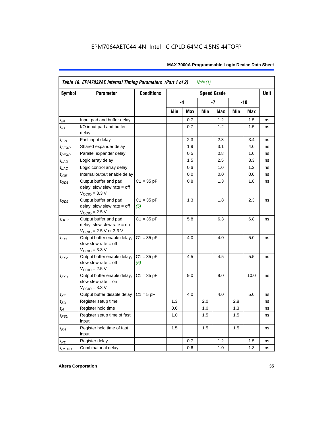|                  | Table 18. EPM7032AE Internal Timing Parameters (Part 1 of 2)<br>Note $(1)$                                   |                     |     |      |     |                    |     |            |             |
|------------------|--------------------------------------------------------------------------------------------------------------|---------------------|-----|------|-----|--------------------|-----|------------|-------------|
| Symbol           | <b>Parameter</b>                                                                                             | <b>Conditions</b>   |     |      |     | <b>Speed Grade</b> |     |            | <b>Unit</b> |
|                  |                                                                                                              |                     |     | $-4$ |     | -7                 |     | $-10$      |             |
|                  |                                                                                                              |                     | Min | Max  | Min | Max                | Min | <b>Max</b> |             |
| $t_{IN}$         | Input pad and buffer delay                                                                                   |                     |     | 0.7  |     | 1.2                |     | 1.5        | ns          |
| $t_{IO}$         | I/O input pad and buffer<br>delay                                                                            |                     |     | 0.7  |     | 1.2                |     | 1.5        | ns          |
| $t_{\sf FIN}$    | Fast input delay                                                                                             |                     |     | 2.3  |     | 2.8                |     | 3.4        | ns          |
| $t_{SEXP}$       | Shared expander delay                                                                                        |                     |     | 1.9  |     | 3.1                |     | 4.0        | ns          |
| $t_{PEXP}$       | Parallel expander delay                                                                                      |                     |     | 0.5  |     | 0.8                |     | 1.0        | ns          |
| $t_{LAD}$        | Logic array delay                                                                                            |                     |     | 1.5  |     | 2.5                |     | 3.3        | ns          |
| $t_{LAC}$        | Logic control array delay                                                                                    |                     |     | 0.6  |     | 1.0                |     | 1.2        | ns          |
| $t_{IOE}$        | Internal output enable delay                                                                                 |                     |     | 0.0  |     | 0.0                |     | 0.0        | ns          |
| $t_{OD1}$        | Output buffer and pad<br>delay, slow slew rate $=$ off<br>$V_{\text{CCIO}} = 3.3 \text{ V}$                  | $C1 = 35 pF$        |     | 0.8  |     | 1.3                |     | 1.8        | ns          |
| $t_{OD2}$        | Output buffer and pad<br>delay, slow slew rate $=$ off<br>$VCCIO = 2.5 V$                                    | $C1 = 35 pF$<br>(5) |     | 1.3  |     | 1.8                |     | 2.3        | ns          |
| $t_{OD3}$        | Output buffer and pad<br>delay, slow slew rate $=$ on<br>$V_{\text{CCIO}} = 2.5 \text{ V or } 3.3 \text{ V}$ | $C1 = 35 pF$        |     | 5.8  |     | 6.3                |     | 6.8        | ns          |
| $t_{ZX1}$        | Output buffer enable delay,<br>slow slew rate $=$ off<br>$V_{\text{CCIO}} = 3.3 \text{ V}$                   | $C1 = 35 pF$        |     | 4.0  |     | 4.0                |     | 5.0        | ns          |
| t <sub>ZX2</sub> | Output buffer enable delay,<br>slow slew rate $=$ off<br>$V_{\text{CCIO}} = 2.5 V$                           | $C1 = 35 pF$<br>(5) |     | 4.5  |     | 4.5                |     | 5.5        | ns          |
| $t_{ZX3}$        | Output buffer enable delay,<br>slow slew rate $=$ on<br>$V_{\text{CCIO}} = 3.3 \text{ V}$                    | $C1 = 35 pF$        |     | 9.0  |     | 9.0                |     | 10.0       | ns          |
| $t_{XZ}$         | Output buffer disable delay                                                                                  | $C1 = 5pF$          |     | 4.0  |     | 4.0                |     | 5.0        | ns          |
| $t_{\text{SU}}$  | Register setup time                                                                                          |                     | 1.3 |      | 2.0 |                    | 2.8 |            | ns          |
| $t_H$            | Register hold time                                                                                           |                     | 0.6 |      | 1.0 |                    | 1.3 |            | ns          |
| $t_{FSU}$        | Register setup time of fast<br>input                                                                         |                     | 1.0 |      | 1.5 |                    | 1.5 |            | ns          |
| $t_{FH}$         | Register hold time of fast<br>input                                                                          |                     | 1.5 |      | 1.5 |                    | 1.5 |            | ns          |
| $t_{RD}$         | Register delay                                                                                               |                     |     | 0.7  |     | 1.2                |     | 1.5        | ns          |
| $t_{COMB}$       | Combinatorial delay                                                                                          |                     |     | 0.6  |     | 1.0                |     | 1.3        | ns          |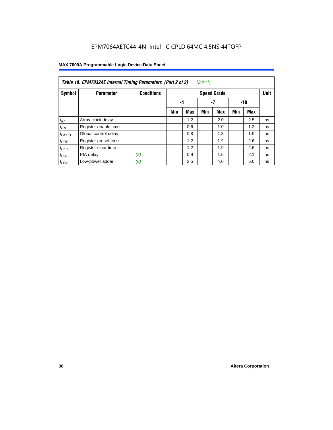| Table 18. EPM7032AE Internal Timing Parameters (Part 2 of 2)<br>Note (1) |                      |                   |                    |            |     |               |     |     |             |
|--------------------------------------------------------------------------|----------------------|-------------------|--------------------|------------|-----|---------------|-----|-----|-------------|
| Symbol                                                                   | <b>Parameter</b>     | <b>Conditions</b> | <b>Speed Grade</b> |            |     |               |     |     | <b>Unit</b> |
|                                                                          |                      |                   |                    | -4         |     | $-7$<br>$-10$ |     |     |             |
|                                                                          |                      |                   | Min                | <b>Max</b> | Min | <b>Max</b>    | Min | Max |             |
| $t_{IC}$                                                                 | Array clock delay    |                   |                    | 1.2        |     | 2.0           |     | 2.5 | ns          |
| $t_{EN}$                                                                 | Register enable time |                   |                    | 0.6        |     | 1.0           |     | 1.2 | ns          |
| $t_{GLOB}$                                                               | Global control delay |                   |                    | 0.8        |     | 1.3           |     | 1.9 | ns          |
| $t_{PRE}$                                                                | Register preset time |                   |                    | 1.2        |     | 1.9           |     | 2.6 | ns          |
| $t_{CLR}$                                                                | Register clear time  |                   |                    | 1.2        |     | 1.9           |     | 2.6 | ns          |
| t <sub>PIA</sub>                                                         | PIA delay            | (2)               |                    | 0.9        |     | 1.5           |     | 2.1 | ns          |
| $t_{LPA}$                                                                | Low-power adder      | (6)               |                    | 2.5        |     | 4.0           |     | 5.0 | ns          |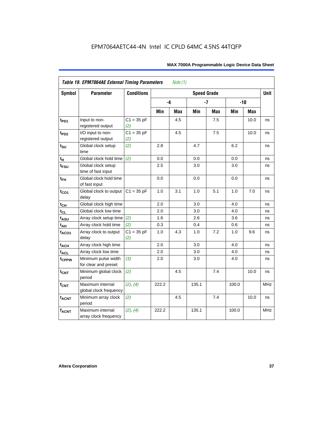| <b>Symbol</b>               | <b>Parameter</b>                            | <b>Conditions</b>   |       |     | <b>Speed Grade</b> |            |       |       | <b>Unit</b> |
|-----------------------------|---------------------------------------------|---------------------|-------|-----|--------------------|------------|-------|-------|-------------|
|                             |                                             |                     | -4    |     |                    | $-7$       |       | $-10$ |             |
|                             |                                             |                     | Min   | Max | Min                | <b>Max</b> | Min   | Max   |             |
| $t_{PD1}$                   | Input to non-<br>registered output          | $C1 = 35 pF$<br>(2) |       | 4.5 |                    | 7.5        |       | 10.0  | ns          |
| $t_{PD2}$                   | I/O input to non-<br>registered output      | $C1 = 35 pF$<br>(2) |       | 4.5 |                    | 7.5        |       | 10.0  | ns          |
| $t_{\scriptstyle\text{SU}}$ | Global clock setup<br>time                  | (2)                 | 2.8   |     | 4.7                |            | 6.2   |       | ns          |
| $t_H$                       | Global clock hold time                      | (2)                 | 0.0   |     | 0.0                |            | 0.0   |       | ns          |
| t <sub>FSU</sub>            | Global clock setup<br>time of fast input    |                     | 2.5   |     | 3.0                |            | 3.0   |       | ns          |
| $t_{FH}$                    | Global clock hold time<br>of fast input     |                     | 0.0   |     | 0.0                |            | 0.0   |       | ns          |
| $t_{CO1}$                   | Global clock to output<br>delay             | $C1 = 35 pF$        | 1.0   | 3.1 | 1.0                | 5.1        | 1.0   | 7.0   | ns          |
| $t_{CH}$                    | Global clock high time                      |                     | 2.0   |     | 3.0                |            | 4.0   |       | ns          |
| $t_{CL}$                    | Global clock low time                       |                     | 2.0   |     | 3.0                |            | 4.0   |       | ns          |
| t <sub>ASU</sub>            | Array clock setup time                      | (2)                 | 1.6   |     | 2.6                |            | 3.6   |       | ns          |
| $t_{AH}$                    | Array clock hold time                       | (2)                 | 0.3   |     | 0.4                |            | 0.6   |       | ns          |
| $t_{ACO1}$                  | Array clock to output<br>delay              | $C1 = 35 pF$<br>(2) | 1.0   | 4.3 | 1.0                | 7.2        | 1.0   | 9.6   | ns          |
| $t_{ACH}$                   | Array clock high time                       |                     | 2.0   |     | 3.0                |            | 4.0   |       | ns          |
| t <sub>ACL</sub>            | Array clock low time                        |                     | 2.0   |     | 3.0                |            | 4.0   |       | ns          |
| t <sub>CPPW</sub>           | Minimum pulse width<br>for clear and preset | (3)                 | 2.0   |     | 3.0                |            | 4.0   |       | ns          |
| $t_{\text{CNT}}$            | Minimum global clock<br>period              | (2)                 |       | 4.5 |                    | 7.4        |       | 10.0  | ns          |
| $f_{CNT}$                   | Maximum internal<br>global clock frequency  | (2), (4)            | 222.2 |     | 135.1              |            | 100.0 |       | <b>MHz</b>  |
| $t_{ACNT}$                  | Minimum array clock<br>period               | (2)                 |       | 4.5 |                    | 7.4        |       | 10.0  | ns          |
| <b>fACNT</b>                | Maximum internal<br>array clock frequency   | (2), (4)            | 222.2 |     | 135.1              |            | 100.0 |       | <b>MHz</b>  |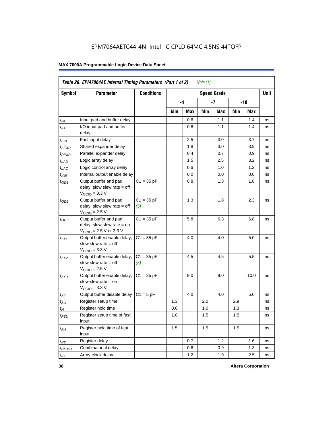|                    | Table 20. EPM7064AE Internal Timing Parameters (Part 1 of 2)<br>Note (1)                                     |                     |     |     |     |                    |     |      |      |  |  |
|--------------------|--------------------------------------------------------------------------------------------------------------|---------------------|-----|-----|-----|--------------------|-----|------|------|--|--|
| <b>Symbol</b>      | Parameter                                                                                                    | <b>Conditions</b>   |     |     |     | <b>Speed Grade</b> |     |      | Unit |  |  |
|                    |                                                                                                              |                     |     | -4  |     | -7                 |     | -10  |      |  |  |
|                    |                                                                                                              |                     | Min | Max | Min | Max                | Min | Max  |      |  |  |
| $t_{IN}$           | Input pad and buffer delay                                                                                   |                     |     | 0.6 |     | 1.1                |     | 1.4  | ns   |  |  |
| $t_{IO}$           | I/O input pad and buffer<br>delay                                                                            |                     |     | 0.6 |     | 1.1                |     | 1.4  | ns   |  |  |
| $t_{\mathsf{FIN}}$ | Fast input delay                                                                                             |                     |     | 2.5 |     | 3.0                |     | 3.7  | ns   |  |  |
| $t_{SEXP}$         | Shared expander delay                                                                                        |                     |     | 1.8 |     | 3.0                |     | 3.9  | ns   |  |  |
| t <sub>PEXP</sub>  | Parallel expander delay                                                                                      |                     |     | 0.4 |     | 0.7                |     | 0.9  | ns   |  |  |
| $t_{LAD}$          | Logic array delay                                                                                            |                     |     | 1.5 |     | 2.5                |     | 3.2  | ns   |  |  |
| $t_{LAC}$          | Logic control array delay                                                                                    |                     |     | 0.6 |     | 1.0                |     | 1.2  | ns   |  |  |
| $t_{IOE}$          | Internal output enable delay                                                                                 |                     |     | 0.0 |     | 0.0                |     | 0.0  | ns   |  |  |
| $t_{OD1}$          | Output buffer and pad<br>delay, slow slew rate = off<br>$VCCIO = 3.3 V$                                      | $C1 = 35 pF$        |     | 0.8 |     | 1.3                |     | 1.8  | ns   |  |  |
| $t_{OD2}$          | Output buffer and pad<br>delay, slow slew rate $=$ off<br>$V_{\rm CClO}$ = 2.5 V                             | $C1 = 35 pF$<br>(5) |     | 1.3 |     | 1.8                |     | 2.3  | ns   |  |  |
| $t_{OD3}$          | Output buffer and pad<br>delay, slow slew rate $=$ on<br>$V_{\text{CCIO}} = 2.5 \text{ V or } 3.3 \text{ V}$ | $C1 = 35 pF$        |     | 5.8 |     | 6.3                |     | 6.8  | ns   |  |  |
| $t_{ZX1}$          | Output buffer enable delay,<br>slow slew rate = off<br>$V_{\rm CClO}$ = 3.3 V                                | $C1 = 35 pF$        |     | 4.0 |     | 4.0                |     | 5.0  | ns   |  |  |
| t <sub>ZX2</sub>   | Output buffer enable delay,<br>slow slew rate $=$ off<br>$VCCIO = 2.5 V$                                     | $C1 = 35 pF$<br>(5) |     | 4.5 |     | 4.5                |     | 5.5  | ns   |  |  |
| $t_{ZX3}$          | Output buffer enable delay,<br>slow slew rate $=$ on<br>$VCCIO = 3.3 V$                                      | $C1 = 35 pF$        |     | 9.0 |     | 9.0                |     | 10.0 | ns   |  |  |
| $t_{XZ}$           | Output buffer disable delay                                                                                  | $C1 = 5pF$          |     | 4.0 |     | 4.0                |     | 5.0  | ns   |  |  |
| $t_{\text{SU}}$    | Register setup time                                                                                          |                     | 1.3 |     | 2.0 |                    | 2.9 |      | ns   |  |  |
| $t_H$              | Register hold time                                                                                           |                     | 0.6 |     | 1.0 |                    | 1.3 |      | ns   |  |  |
| $t_{\mathit{FSU}}$ | Register setup time of fast<br>input                                                                         |                     | 1.0 |     | 1.5 |                    | 1.5 |      | ns   |  |  |
| $t_{FH}$           | Register hold time of fast<br>input                                                                          |                     | 1.5 |     | 1.5 |                    | 1.5 |      | ns   |  |  |
| $t_{RD}$           | Register delay                                                                                               |                     |     | 0.7 |     | 1.2                |     | 1.6  | ns   |  |  |
| $t_{COMB}$         | Combinatorial delay                                                                                          |                     |     | 0.6 |     | 0.9                |     | 1.3  | ns   |  |  |
| $t_{IC}$           | Array clock delay                                                                                            |                     |     | 1.2 |     | 1.9                |     | 2.5  | ns   |  |  |

**38 Altera Corporation**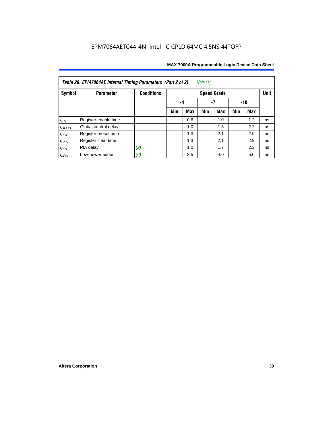| Note $(1)$<br>Table 20. EPM7064AE Internal Timing Parameters (Part 2 of 2) |                      |                   |     |                 |     |                    |     |     |             |  |  |  |
|----------------------------------------------------------------------------|----------------------|-------------------|-----|-----------------|-----|--------------------|-----|-----|-------------|--|--|--|
| Symbol                                                                     | <b>Parameter</b>     | <b>Conditions</b> |     |                 |     | <b>Speed Grade</b> |     |     | <b>Unit</b> |  |  |  |
|                                                                            |                      |                   |     | -7<br>-10<br>-4 |     |                    |     |     |             |  |  |  |
|                                                                            |                      |                   | Min | Max             | Min | <b>Max</b>         | Min | Max |             |  |  |  |
| $t_{EN}$                                                                   | Register enable time |                   |     | 0.6             |     | 1.0                |     | 1.2 | ns          |  |  |  |
| $t_{\text{GLOB}}$                                                          | Global control delay |                   |     | 1.0             |     | 1.5                |     | 2.2 | ns          |  |  |  |
| $t_{PRE}$                                                                  | Register preset time |                   |     | 1.3             |     | 2.1                |     | 2.9 | ns          |  |  |  |
| $t_{CLR}$                                                                  | Register clear time  |                   |     | 1.3             |     | 2.1                |     | 2.9 | ns          |  |  |  |
| $t_{PIA}$                                                                  | PIA delay            | (2)               |     | 1.0             |     | 1.7                |     | 2.3 | ns          |  |  |  |
| $t_{LPA}$                                                                  | Low-power adder      | (6)               |     | 3.5             |     | 4.0                |     | 5.0 | ns          |  |  |  |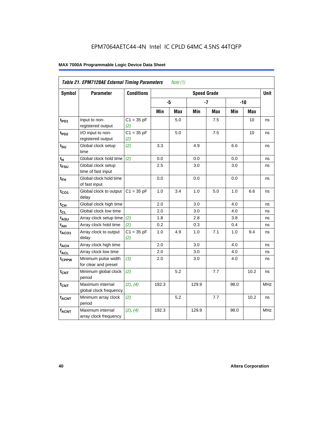| Table 21. EPM7128AE External Timing Parameters<br>Note $(1)$ |                                             |                     |       |            |                    |            |            |            |            |  |
|--------------------------------------------------------------|---------------------------------------------|---------------------|-------|------------|--------------------|------------|------------|------------|------------|--|
| Symbol                                                       | <b>Parameter</b>                            | <b>Conditions</b>   |       |            | <b>Speed Grade</b> |            |            |            | Unit       |  |
|                                                              |                                             |                     | -5    |            |                    | $-7$       |            | $-10$      |            |  |
|                                                              |                                             |                     | Min   | <b>Max</b> | Min                | <b>Max</b> | <b>Min</b> | <b>Max</b> |            |  |
| t <sub>PD1</sub>                                             | Input to non-<br>registered output          | $C1 = 35 pF$<br>(2) |       | 5.0        |                    | 7.5        |            | 10         | ns         |  |
| t <sub>PD2</sub>                                             | I/O input to non-<br>registered output      | $C1 = 35 pF$<br>(2) |       | 5.0        |                    | 7.5        |            | 10         | ns         |  |
| $t_{\text{SU}}$                                              | Global clock setup<br>time                  | (2)                 | 3.3   |            | 4.9                |            | 6.6        |            | ns         |  |
| $t_H$                                                        | Global clock hold time                      | (2)                 | 0.0   |            | 0.0                |            | 0.0        |            | ns         |  |
| t <sub>FSU</sub>                                             | Global clock setup<br>time of fast input    |                     | 2.5   |            | 3.0                |            | 3.0        |            | ns         |  |
| $t_{FH}$                                                     | Global clock hold time<br>of fast input     |                     | 0.0   |            | 0.0                |            | 0.0        |            | ns         |  |
| $t_{CO1}$                                                    | Global clock to output<br>delay             | $C1 = 35 pF$        | 1.0   | 3.4        | 1.0                | 5.0        | 1.0        | 6.6        | ns         |  |
| $t_{CH}$                                                     | Global clock high time                      |                     | 2.0   |            | 3.0                |            | 4.0        |            | ns         |  |
| $t_{CL}$                                                     | Global clock low time                       |                     | 2.0   |            | 3.0                |            | 4.0        |            | ns         |  |
| $t_{ASU}$                                                    | Array clock setup time                      | (2)                 | 1.8   |            | 2.8                |            | 3.8        |            | ns         |  |
| $t_{AH}$                                                     | Array clock hold time                       | (2)                 | 0.2   |            | 0.3                |            | 0.4        |            | ns         |  |
| $t_{ACO1}$                                                   | Array clock to output<br>delay              | $C1 = 35 pF$<br>(2) | 1.0   | 4.9        | 1.0                | 7.1        | 1.0        | 9.4        | ns         |  |
| $t_{ACH}$                                                    | Array clock high time                       |                     | 2.0   |            | 3.0                |            | 4.0        |            | ns         |  |
| t <sub>ACL</sub>                                             | Array clock low time                        |                     | 2.0   |            | 3.0                |            | 4.0        |            | ns         |  |
| t <sub>CPPW</sub>                                            | Minimum pulse width<br>for clear and preset | (3)                 | 2.0   |            | 3.0                |            | 4.0        |            | ns         |  |
| $t_{\text{CNT}}$                                             | Minimum global clock<br>period              | (2)                 |       | 5.2        |                    | 7.7        |            | 10.2       | ns         |  |
| $f_{CNT}$                                                    | Maximum internal<br>global clock frequency  | (2), (4)            | 192.3 |            | 129.9              |            | 98.0       |            | <b>MHz</b> |  |
| $t_{ACNT}$                                                   | Minimum array clock<br>period               | (2)                 |       | 5.2        |                    | 7.7        |            | 10.2       | ns         |  |
| <b>fACNT</b>                                                 | Maximum internal<br>array clock frequency   | (2), (4)            | 192.3 |            | 129.9              |            | 98.0       |            | <b>MHz</b> |  |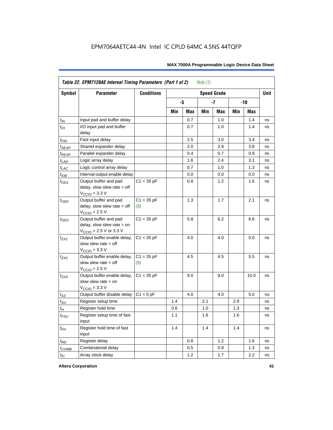|                    | Table 22. EPM7128AE Internal Timing Parameters (Part 1 of 2)<br>Note $(1)$                  |                     |     |     |     |                    |     |       |             |  |  |  |
|--------------------|---------------------------------------------------------------------------------------------|---------------------|-----|-----|-----|--------------------|-----|-------|-------------|--|--|--|
| Symbol             | <b>Parameter</b>                                                                            | <b>Conditions</b>   |     |     |     | <b>Speed Grade</b> |     |       | <b>Unit</b> |  |  |  |
|                    |                                                                                             |                     |     | -5  |     | $-7$               |     | $-10$ |             |  |  |  |
|                    |                                                                                             |                     | Min | Max | Min | Max                | Min | Max   |             |  |  |  |
| $t_{IN}$           | Input pad and buffer delay                                                                  |                     |     | 0.7 |     | 1.0                |     | 1.4   | ns          |  |  |  |
| $t_{IO}$           | I/O input pad and buffer<br>delay                                                           |                     |     | 0.7 |     | $1.0\,$            |     | 1.4   | ns          |  |  |  |
| $t_{\mathsf{FIN}}$ | Fast input delay                                                                            |                     |     | 2.5 |     | 3.0                |     | 3.4   | ns          |  |  |  |
| $t_{SEXP}$         | Shared expander delay                                                                       |                     |     | 2.0 |     | 2.9                |     | 3.8   | ns          |  |  |  |
| $t_{PEXP}$         | Parallel expander delay                                                                     |                     |     | 0.4 |     | 0.7                |     | 0.9   | ns          |  |  |  |
| $t_{LAD}$          | Logic array delay                                                                           |                     |     | 1.6 |     | 2.4                |     | 3.1   | ns          |  |  |  |
| $t_{LAC}$          | Logic control array delay                                                                   |                     |     | 0.7 |     | 1.0                |     | 1.3   | ns          |  |  |  |
| $t_{IOE}$          | Internal output enable delay                                                                |                     |     | 0.0 |     | 0.0                |     | 0.0   | ns          |  |  |  |
| $t_{OD1}$          | Output buffer and pad<br>delay, slow slew rate $=$ off<br>$V_{\text{CCIO}} = 3.3 \text{ V}$ | $C1 = 35 pF$        |     | 0.8 |     | 1.2                |     | 1.6   | ns          |  |  |  |
| $t_{OD2}$          | Output buffer and pad<br>delay, slow slew rate $=$ off<br>$V_{\text{CCIO}}$ = 2.5 V         | $C1 = 35 pF$<br>(5) |     | 1.3 |     | 1.7                |     | 2.1   | ns          |  |  |  |
| $t_{OD3}$          | Output buffer and pad<br>delay, slow slew rate $=$ on<br>$V_{\text{CCIO}}$ = 2.5 V or 3.3 V | $C1 = 35 pF$        |     | 5.8 |     | 6.2                |     | 6.6   | ns          |  |  |  |
| $t_{ZX1}$          | Output buffer enable delay,<br>slow slew rate $=$ off<br>$V_{\text{CCIO}} = 3.3 \text{ V}$  | $C1 = 35 pF$        |     | 4.0 |     | 4.0                |     | 5.0   | ns          |  |  |  |
| $t_{7X2}$          | Output buffer enable delay,<br>slow slew rate $=$ off<br>$V_{\text{CCIO}} = 2.5 V$          | $C1 = 35 pF$<br>(5) |     | 4.5 |     | 4.5                |     | 5.5   | ns          |  |  |  |
| $t_{ZX3}$          | Output buffer enable delay,<br>slow slew rate $=$ on<br>$V_{\text{CCIO}} = 3.3 \text{ V}$   | $C1 = 35 pF$        |     | 9.0 |     | 9.0                |     | 10.0  | ns          |  |  |  |
| $t_{XZ}$           | Output buffer disable delay                                                                 | $C1 = 5pF$          |     | 4.0 |     | 4.0                |     | 5.0   | ns          |  |  |  |
| $t_{\text{SU}}$    | Register setup time                                                                         |                     | 1.4 |     | 2.1 |                    | 2.9 |       | ns          |  |  |  |
| $t_H$              | Register hold time                                                                          |                     | 0.6 |     | 1.0 |                    | 1.3 |       | ns          |  |  |  |
| $t_{FSU}$          | Register setup time of fast<br>input                                                        |                     | 1.1 |     | 1.6 |                    | 1.6 |       | ns          |  |  |  |
| $t_{FH}$           | Register hold time of fast<br>input                                                         |                     | 1.4 |     | 1.4 |                    | 1.4 |       | ns          |  |  |  |
| $t_{RD}$           | Register delay                                                                              |                     |     | 0.8 |     | 1.2                |     | 1.6   | ns          |  |  |  |
| $t_{COMB}$         | Combinatorial delay                                                                         |                     |     | 0.5 |     | 0.9                |     | 1.3   | ns          |  |  |  |
| $t_{IC}$           | Array clock delay                                                                           |                     |     | 1.2 |     | 1.7                |     | 2.2   | ns          |  |  |  |

**Altera Corporation 41**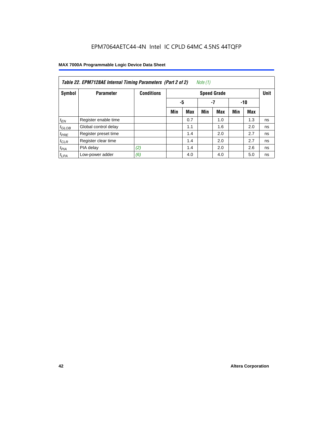| Note (1)<br>Table 22. EPM7128AE Internal Timing Parameters (Part 2 of 2) |                      |                   |     |                 |     |                    |     |            |             |  |  |
|--------------------------------------------------------------------------|----------------------|-------------------|-----|-----------------|-----|--------------------|-----|------------|-------------|--|--|
| Symbol                                                                   | <b>Parameter</b>     | <b>Conditions</b> |     |                 |     | <b>Speed Grade</b> |     |            | <b>Unit</b> |  |  |
|                                                                          |                      |                   |     | -5<br>-7<br>-10 |     |                    |     |            |             |  |  |
|                                                                          |                      |                   | Min | <b>Max</b>      | Min | <b>Max</b>         | Min | <b>Max</b> |             |  |  |
| $t_{EN}$                                                                 | Register enable time |                   |     | 0.7             |     | 1.0                |     | 1.3        | ns          |  |  |
| $t_{GLOB}$                                                               | Global control delay |                   |     | 1.1             |     | 1.6                |     | 2.0        | ns          |  |  |
| $t_{PRE}$                                                                | Register preset time |                   |     | 1.4             |     | 2.0                |     | 2.7        | ns          |  |  |
| $t_{CLR}$                                                                | Register clear time  |                   |     | 1.4             |     | 2.0                |     | 2.7        | ns          |  |  |
| t <sub>PIA</sub>                                                         | PIA delay            | (2)               |     | 1.4             |     | 2.0                |     | 2.6        | ns          |  |  |
| $t_{LPA}$                                                                | Low-power adder      | (6)               |     | 4.0             |     | 4.0                |     | 5.0        | ns          |  |  |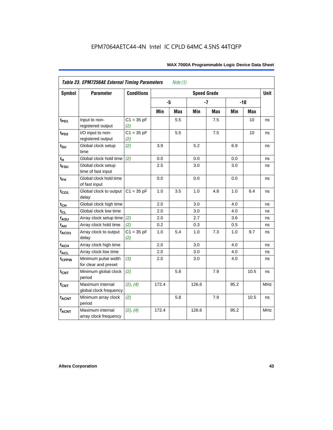| <b>Symbol</b>     | <b>Parameter</b>                            | <b>Conditions</b>   |       |     | <b>Speed Grade</b> |            |      |            | <b>Unit</b> |
|-------------------|---------------------------------------------|---------------------|-------|-----|--------------------|------------|------|------------|-------------|
|                   |                                             |                     | -5    |     |                    | $-7$       |      | $-10$      |             |
|                   |                                             |                     | Min   | Max | Min                | <b>Max</b> | Min  | <b>Max</b> |             |
| $t_{PD1}$         | Input to non-<br>registered output          | $C1 = 35 pF$<br>(2) |       | 5.5 |                    | 7.5        |      | 10         | ns          |
| t <sub>PD2</sub>  | I/O input to non-<br>registered output      | $C1 = 35 pF$<br>(2) |       | 5.5 |                    | 7.5        |      | 10         | ns          |
| $t_{\text{SU}}$   | Global clock setup<br>time                  | (2)                 | 3.9   |     | 5.2                |            | 6.9  |            | ns          |
| t <sub>H</sub>    | Global clock hold time                      | (2)                 | 0.0   |     | $0.0\,$            |            | 0.0  |            | ns          |
| $t_{FSU}$         | Global clock setup<br>time of fast input    |                     | 2.5   |     | 3.0                |            | 3.0  |            | ns          |
| $t_{FH}$          | Global clock hold time<br>of fast input     |                     | 0.0   |     | 0.0                |            | 0.0  |            | ns          |
| $t_{CO1}$         | Global clock to output<br>delay             | $C1 = 35 pF$        | 1.0   | 3.5 | 1.0                | 4.8        | 1.0  | 6.4        | ns          |
| $t_{CH}$          | Global clock high time                      |                     | 2.0   |     | 3.0                |            | 4.0  |            | ns          |
| $t_{CL}$          | Global clock low time                       |                     | 2.0   |     | 3.0                |            | 4.0  |            | ns          |
| t <sub>ASU</sub>  | Array clock setup time                      | (2)                 | 2.0   |     | 2.7                |            | 3.6  |            | ns          |
| $t_{AH}$          | Array clock hold time                       | (2)                 | 0.2   |     | 0.3                |            | 0.5  |            | ns          |
| t <sub>ACO1</sub> | Array clock to output<br>delay              | $C1 = 35 pF$<br>(2) | 1.0   | 5.4 | 1.0                | 7.3        | 1.0  | 9.7        | ns          |
| $t_{ACH}$         | Array clock high time                       |                     | 2.0   |     | 3.0                |            | 4.0  |            | ns          |
| t <sub>ACL</sub>  | Array clock low time                        |                     | 2.0   |     | 3.0                |            | 4.0  |            | ns          |
| tcPPW             | Minimum pulse width<br>for clear and preset | (3)                 | 2.0   |     | 3.0                |            | 4.0  |            | ns          |
| $t_{\text{CNT}}$  | Minimum global clock<br>period              | (2)                 |       | 5.8 |                    | 7.9        |      | 10.5       | ns          |
| $f_{CNT}$         | Maximum internal<br>global clock frequency  | (2), (4)            | 172.4 |     | 126.6              |            | 95.2 |            | <b>MHz</b>  |
| $t_{ACNT}$        | Minimum array clock<br>period               | (2)                 |       | 5.8 |                    | 7.9        |      | 10.5       | ns          |
| <b>fACNT</b>      | Maximum internal<br>array clock frequency   | (2), (4)            | 172.4 |     | 126.6              |            | 95.2 |            | <b>MHz</b>  |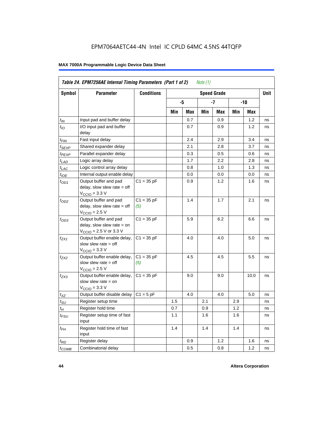|                             |                                                                                                              | <b>Conditions</b>   |     |     |     |                    |     |      |             |
|-----------------------------|--------------------------------------------------------------------------------------------------------------|---------------------|-----|-----|-----|--------------------|-----|------|-------------|
| Symbol                      | <b>Parameter</b>                                                                                             |                     |     |     |     | <b>Speed Grade</b> |     |      | <b>Unit</b> |
|                             |                                                                                                              |                     |     | -5  |     | -7                 |     | -10  |             |
|                             |                                                                                                              |                     | Min | Max | Min | Max                | Min | Max  |             |
| $t_{IN}$                    | Input pad and buffer delay                                                                                   |                     |     | 0.7 |     | 0.9                |     | 1.2  | ns          |
| $t_{IO}$                    | I/O input pad and buffer<br>delay                                                                            |                     |     | 0.7 |     | 0.9                |     | 1.2  | ns          |
| t <sub>FIN</sub>            | Fast input delay                                                                                             |                     |     | 2.4 |     | 2.9                |     | 3.4  | ns          |
| t <sub>SEXP</sub>           | Shared expander delay                                                                                        |                     |     | 2.1 |     | 2.8                |     | 3.7  | ns          |
| t <sub>PEXP</sub>           | Parallel expander delay                                                                                      |                     |     | 0.3 |     | 0.5                |     | 0.6  | ns          |
| $t_{LAD}$                   | Logic array delay                                                                                            |                     |     | 1.7 |     | 2.2                |     | 2.8  | ns          |
| $t_{LAC}$                   | Logic control array delay                                                                                    |                     |     | 0.8 |     | 1.0                |     | 1.3  | ns          |
| $t_{IOE}$                   | Internal output enable delay                                                                                 |                     |     | 0.0 |     | 0.0                |     | 0.0  | ns          |
| $t_{OD1}$                   | Output buffer and pad<br>delay, slow slew rate $=$ off<br>$V_{\text{CCIO}} = 3.3 \text{ V}$                  | $C1 = 35 pF$        |     | 0.9 |     | 1.2                |     | 1.6  | ns          |
| $t_{OD2}$                   | Output buffer and pad<br>delay, slow slew rate $=$ off<br>$V_{\text{CCIO}} = 2.5 V$                          | $C1 = 35 pF$<br>(5) |     | 1.4 |     | 1.7                |     | 2.1  | ns          |
| $t_{OD3}$                   | Output buffer and pad<br>delay, slow slew rate $=$ on<br>$V_{\text{CCIO}} = 2.5 \text{ V or } 3.3 \text{ V}$ | $C1 = 35 pF$        |     | 5.9 |     | 6.2                |     | 6.6  | ns          |
| $t_{ZX1}$                   | Output buffer enable delay,<br>slow slew rate $=$ off<br>$V_{\text{CCIO}} = 3.3 \text{ V}$                   | $C1 = 35 pF$        |     | 4.0 |     | 4.0                |     | 5.0  | ns          |
| t <sub>ZX2</sub>            | Output buffer enable delay,<br>slow slew rate $=$ off<br>$V_{\text{CCIO}} = 2.5 V$                           | $C1 = 35 pF$<br>(5) |     | 4.5 |     | 4.5                |     | 5.5  | ns          |
| t <sub>ZX3</sub>            | Output buffer enable delay,<br>slow slew rate $=$ on<br>$VCCIO = 3.3 V$                                      | $C1 = 35 pF$        |     | 9.0 |     | 9.0                |     | 10.0 | ns          |
| $t_{XZ}$                    | Output buffer disable delay                                                                                  | $C1 = 5pF$          |     | 4.0 |     | 4.0                |     | 5.0  | ns          |
| $t_{\scriptstyle\text{SU}}$ | Register setup time                                                                                          |                     | 1.5 |     | 2.1 |                    | 2.9 |      | ns          |
| $t_{\mathcal{H}}$           | Register hold time                                                                                           |                     | 0.7 |     | 0.9 |                    | 1.2 |      | ns          |
| t <sub>FSU</sub>            | Register setup time of fast<br>input                                                                         |                     | 1.1 |     | 1.6 |                    | 1.6 |      | ns          |
| $t_{FH}$                    | Register hold time of fast<br>input                                                                          |                     | 1.4 |     | 1.4 |                    | 1.4 |      | ns          |
| $t_{RD}$                    | Register delay                                                                                               |                     |     | 0.9 |     | 1.2                |     | 1.6  | ns          |
| $t_{\text{COMB}}$           | Combinatorial delay                                                                                          |                     |     | 0.5 |     | 0.8                |     | 1.2  | ns          |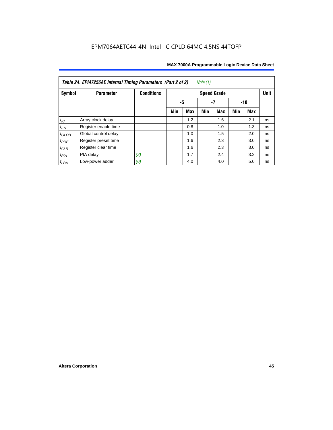| Table 24. EPM7256AE Internal Timing Parameters (Part 2 of 2)<br>Note (1) |                      |                   |     |            |     |                    |     |     |             |  |
|--------------------------------------------------------------------------|----------------------|-------------------|-----|------------|-----|--------------------|-----|-----|-------------|--|
| Symbol                                                                   | <b>Parameter</b>     | <b>Conditions</b> |     |            |     | <b>Speed Grade</b> |     |     | <b>Unit</b> |  |
|                                                                          |                      |                   | -5  |            |     | -7                 |     | -10 |             |  |
|                                                                          |                      |                   | Min | <b>Max</b> | Min | <b>Max</b>         | Min | Max |             |  |
| $t_{\mathit{IC}}$                                                        | Array clock delay    |                   |     | 1.2        |     | 1.6                |     | 2.1 | ns          |  |
| $t_{\mathsf{EN}}$                                                        | Register enable time |                   |     | 0.8        |     | 1.0                |     | 1.3 | ns          |  |
| $t_{GLOB}$                                                               | Global control delay |                   |     | 1.0        |     | 1.5                |     | 2.0 | ns          |  |
| $t_{PRE}$                                                                | Register preset time |                   |     | 1.6        |     | 2.3                |     | 3.0 | ns          |  |
| $t_{CLR}$                                                                | Register clear time  |                   |     | 1.6        |     | 2.3                |     | 3.0 | ns          |  |
| $t_{PIA}$                                                                | PIA delay            | (2)               |     | 1.7        |     | 2.4                |     | 3.2 | ns          |  |
| $t_{LPA}$                                                                | Low-power adder      | (6)               |     | 4.0        |     | 4.0                |     | 5.0 | ns          |  |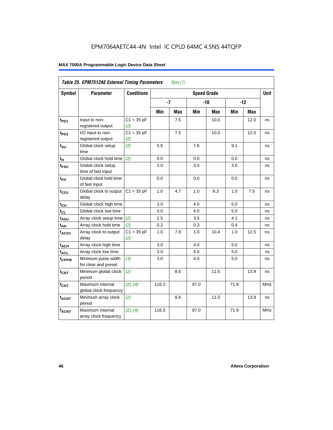| Table 25. EPM7512AE External Timing Parameters<br>Note $(1)$ |                                             |                     |       |            |                    |            |      |            |            |  |  |
|--------------------------------------------------------------|---------------------------------------------|---------------------|-------|------------|--------------------|------------|------|------------|------------|--|--|
| Symbol                                                       | <b>Parameter</b>                            | <b>Conditions</b>   |       |            | <b>Speed Grade</b> |            |      |            | Unit       |  |  |
|                                                              |                                             |                     | $-7$  |            |                    | $-10$      |      | $-12$      |            |  |  |
|                                                              |                                             |                     | Min   | <b>Max</b> | Min                | <b>Max</b> | Min  | <b>Max</b> |            |  |  |
| t <sub>PD1</sub>                                             | Input to non-<br>registered output          | $C1 = 35 pF$<br>(2) |       | 7.5        |                    | 10.0       |      | 12.0       | ns         |  |  |
| t <sub>PD2</sub>                                             | I/O input to non-<br>registered output      | $C1 = 35 pF$<br>(2) |       | 7.5        |                    | 10.0       |      | 12.0       | ns         |  |  |
| $t_{\text{SU}}$                                              | Global clock setup<br>time                  | (2)                 | 5.6   |            | 7.6                |            | 9.1  |            | ns         |  |  |
| tμ                                                           | Global clock hold time                      | (2)                 | 0.0   |            | 0.0                |            | 0.0  |            | ns         |  |  |
| t <sub>FSU</sub>                                             | Global clock setup<br>time of fast input    |                     | 3.0   |            | 3.0                |            | 3.0  |            | ns         |  |  |
| $t_{FH}$                                                     | Global clock hold time<br>of fast input     |                     | 0.0   |            | 0.0                |            | 0.0  |            | ns         |  |  |
| $t_{CO1}$                                                    | Global clock to output<br>delay             | $C1 = 35 pF$        | 1.0   | 4.7        | 1.0                | 6.3        | 1.0  | 7.5        | ns         |  |  |
| $t_{CH}$                                                     | Global clock high time                      |                     | 3.0   |            | 4.0                |            | 5.0  |            | ns         |  |  |
| $t_{CL}$                                                     | Global clock low time                       |                     | 3.0   |            | 4.0                |            | 5.0  |            | ns         |  |  |
| $t_{ASU}$                                                    | Array clock setup time                      | (2)                 | 2.5   |            | 3.5                |            | 4.1  |            | ns         |  |  |
| $t_{AH}$                                                     | Array clock hold time                       | (2)                 | 0.2   |            | 0.3                |            | 0.4  |            | ns         |  |  |
| $t_{ACO1}$                                                   | Array clock to output<br>delay              | $C1 = 35 pF$<br>(2) | 1.0   | 7.8        | 1.0                | 10.4       | 1.0  | 12.5       | ns         |  |  |
| $t_{ACH}$                                                    | Array clock high time                       |                     | 3.0   |            | 4.0                |            | 5.0  |            | ns         |  |  |
| $t_{\text{ACL}}$                                             | Array clock low time                        |                     | 3.0   |            | 4.0                |            | 5.0  |            | ns         |  |  |
| t <sub>CPPW</sub>                                            | Minimum pulse width<br>for clear and preset | (3)                 | 3.0   |            | 4.0                |            | 5.0  |            | ns         |  |  |
| t <sub>CNT</sub>                                             | Minimum global clock<br>period              | (2)                 |       | 8.6        |                    | 11.5       |      | 13.9       | ns         |  |  |
| $f_{CNT}$                                                    | Maximum internal<br>global clock frequency  | (2), (4)            | 116.3 |            | 87.0               |            | 71.9 |            | <b>MHz</b> |  |  |
| $t_{ACNT}$                                                   | Minimum array clock<br>period               | (2)                 |       | 8.6        |                    | 11.5       |      | 13.9       | ns         |  |  |
| <b>fACNT</b>                                                 | Maximum internal<br>array clock frequency   | (2), (4)            | 116.3 |            | 87.0               |            | 71.9 |            | <b>MHz</b> |  |  |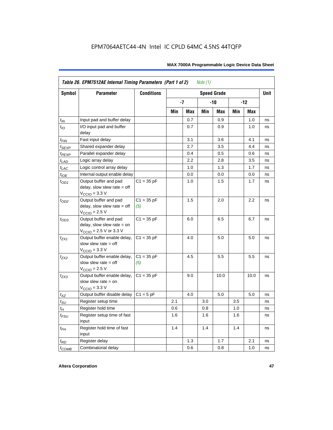|                    | Table 26. EPM7512AE Internal Timing Parameters (Part 1 of 2)<br>Note $(1)$                                   |                     |     |            |     |                    |     |       |             |  |  |
|--------------------|--------------------------------------------------------------------------------------------------------------|---------------------|-----|------------|-----|--------------------|-----|-------|-------------|--|--|
| Symbol             | <b>Parameter</b>                                                                                             | <b>Conditions</b>   |     |            |     | <b>Speed Grade</b> |     |       | <b>Unit</b> |  |  |
|                    |                                                                                                              |                     |     | -7         |     | -10                |     | $-12$ |             |  |  |
|                    |                                                                                                              |                     | Min | <b>Max</b> | Min | Max                | Min | Max   |             |  |  |
| $t_{IN}$           | Input pad and buffer delay                                                                                   |                     |     | 0.7        |     | 0.9                |     | 1.0   | ns          |  |  |
| $t_{IO}$           | I/O input pad and buffer<br>delay                                                                            |                     |     | 0.7        |     | 0.9                |     | 1.0   | ns          |  |  |
| $t_{\sf FIN}$      | Fast input delay                                                                                             |                     |     | 3.1        |     | 3.6                |     | 4.1   | ns          |  |  |
| $t_{SEXP}$         | Shared expander delay                                                                                        |                     |     | 2.7        |     | 3.5                |     | 4.4   | ns          |  |  |
| t <sub>PEXP</sub>  | Parallel expander delay                                                                                      |                     |     | 0.4        |     | 0.5                |     | 0.6   | ns          |  |  |
| $t_{LAD}$          | Logic array delay                                                                                            |                     |     | 2.2        |     | 2.8                |     | 3.5   | ns          |  |  |
| $t_{LAC}$          | Logic control array delay                                                                                    |                     |     | 1.0        |     | 1.3                |     | 1.7   | ns          |  |  |
| $t_{IOE}$          | Internal output enable delay                                                                                 |                     |     | 0.0        |     | 0.0                |     | 0.0   | ns          |  |  |
| $t_{OD1}$          | Output buffer and pad<br>delay, slow slew rate $=$ off<br>$V_{\text{CCIO}} = 3.3 \text{ V}$                  | $C1 = 35 pF$        |     | 1.0        |     | 1.5                |     | 1.7   | ns          |  |  |
| $t_{OD2}$          | Output buffer and pad<br>delay, slow slew rate $=$ off<br>$V_{\text{CCIO}}$ = 2.5 V                          | $C1 = 35 pF$<br>(5) |     | 1.5        |     | 2.0                |     | 2.2   | ns          |  |  |
| $t_{OD3}$          | Output buffer and pad<br>delay, slow slew rate $=$ on<br>$V_{\text{CCIO}} = 2.5 \text{ V or } 3.3 \text{ V}$ | $C1 = 35 pF$        |     | 6.0        |     | 6.5                |     | 6.7   | ns          |  |  |
| $t_{ZX1}$          | Output buffer enable delay,<br>slow slew rate $=$ off<br>$V_{\text{CCIO}} = 3.3 \text{ V}$                   | $C1 = 35 pF$        |     | 4.0        |     | 5.0                |     | 5.0   | ns          |  |  |
| $t_{ZX2}$          | Output buffer enable delay,<br>slow slew rate $=$ off<br>$V_{\text{CCIO}}$ = 2.5 V                           | $C1 = 35 pF$<br>(5) |     | 4.5        |     | 5.5                |     | 5.5   | ns          |  |  |
| $t_{ZX3}$          | Output buffer enable delay,<br>slow slew rate $=$ on<br>$V_{\text{CCIO}} = 3.3 \text{ V}$                    | $C1 = 35 pF$        |     | 9.0        |     | 10.0               |     | 10.0  | ns          |  |  |
| $t_{\mathsf{XZ}}$  | Output buffer disable delay                                                                                  | $C1 = 5pF$          |     | 4.0        |     | 5.0                |     | 5.0   | ns          |  |  |
| $t_{\text{SU}}$    | Register setup time                                                                                          |                     | 2.1 |            | 3.0 |                    | 3.5 |       | ns          |  |  |
| $t_H$              | Register hold time                                                                                           |                     | 0.6 |            | 0.8 |                    | 1.0 |       | ns          |  |  |
| $t_{\mathit{FSU}}$ | Register setup time of fast<br>input                                                                         |                     | 1.6 |            | 1.6 |                    | 1.6 |       | ns          |  |  |
| $t_{FH}$           | Register hold time of fast<br>input                                                                          |                     | 1.4 |            | 1.4 |                    | 1.4 |       | ns          |  |  |
| $t_{RD}$           | Register delay                                                                                               |                     |     | 1.3        |     | 1.7                |     | 2.1   | ns          |  |  |
| $t_{COMB}$         | Combinatorial delay                                                                                          |                     |     | 0.6        |     | 0.8                |     | 1.0   | ns          |  |  |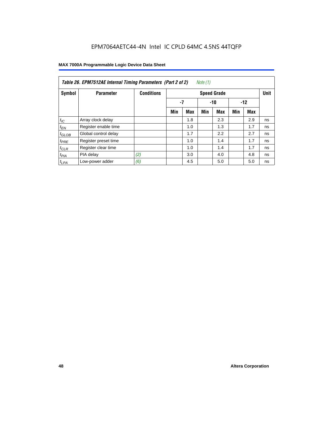| Note (1)<br>Table 26. EPM7512AE Internal Timing Parameters (Part 2 of 2) |                      |                   |     |                    |     |            |     |       |    |  |  |
|--------------------------------------------------------------------------|----------------------|-------------------|-----|--------------------|-----|------------|-----|-------|----|--|--|
| Symbol                                                                   | <b>Parameter</b>     | <b>Conditions</b> |     | <b>Speed Grade</b> |     |            |     |       |    |  |  |
|                                                                          |                      |                   | -7  |                    |     | $-10$      |     | $-12$ |    |  |  |
|                                                                          |                      |                   | Min | <b>Max</b>         | Min | <b>Max</b> | Min | Max   |    |  |  |
| $t_{IC}$                                                                 | Array clock delay    |                   |     | 1.8                |     | 2.3        |     | 2.9   | ns |  |  |
| $t_{EN}$                                                                 | Register enable time |                   |     | 1.0                |     | 1.3        |     | 1.7   | ns |  |  |
| $t_{GLOB}$                                                               | Global control delay |                   |     | 1.7                |     | 2.2        |     | 2.7   | ns |  |  |
| $t_{PRE}$                                                                | Register preset time |                   |     | 1.0                |     | 1.4        |     | 1.7   | ns |  |  |
| $t_{CLR}$                                                                | Register clear time  |                   |     | 1.0                |     | 1.4        |     | 1.7   | ns |  |  |
| t <sub>PIA</sub>                                                         | PIA delay            | (2)               |     | 3.0                |     | 4.0        |     | 4.8   | ns |  |  |
| $t_{LPA}$                                                                | Low-power adder      | (6)               |     | 4.5                |     | 5.0        |     | 5.0   | ns |  |  |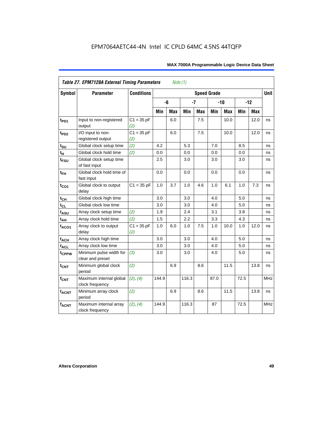| <b>Table 27. EPM7128A External Timing Parameters</b><br>Note (1) |                                             |                     |       |            |       |            |                    |            |      |       |             |
|------------------------------------------------------------------|---------------------------------------------|---------------------|-------|------------|-------|------------|--------------------|------------|------|-------|-------------|
| <b>Symbol</b>                                                    | <b>Parameter</b>                            | <b>Conditions</b>   |       |            |       |            | <b>Speed Grade</b> |            |      |       | <b>Unit</b> |
|                                                                  |                                             |                     |       | -6         | $-7$  |            |                    | $-10$      |      | $-12$ |             |
|                                                                  |                                             |                     | Min   | <b>Max</b> | Min   | <b>Max</b> | Min                | <b>Max</b> | Min  | Max   |             |
| t <sub>PD1</sub>                                                 | Input to non-registered<br>output           | $C1 = 35 pF$<br>(2) |       | 6.0        |       | 7.5        |                    | 10.0       |      | 12.0  | ns          |
| t <sub>PD2</sub>                                                 | I/O input to non-<br>registered output      | $C1 = 35 pF$<br>(2) |       | 6.0        |       | 7.5        |                    | 10.0       |      | 12.0  | ns          |
| $t_{\text{SU}}$                                                  | Global clock setup time                     | (2)                 | 4.2   |            | 5.3   |            | 7.0                |            | 8.5  |       | ns          |
| t <sub>H</sub>                                                   | Global clock hold time                      | (2)                 | 0.0   |            | 0.0   |            | 0.0                |            | 0.0  |       | ns          |
| t <sub>FSU</sub>                                                 | Global clock setup time<br>of fast input    |                     | 2.5   |            | 3.0   |            | 3.0                |            | 3.0  |       | ns          |
| $t_{FH}$                                                         | Global clock hold time of<br>fast input     |                     | 0.0   |            | 0.0   |            | 0.0                |            | 0.0  |       | ns          |
| $t_{CO1}$                                                        | Global clock to output<br>delay             | $C1 = 35 pF$        | 1.0   | 3.7        | 1.0   | 4.6        | 1.0                | 6.1        | 1.0  | 7.3   | ns          |
| $t_{\mathsf{CH}}$                                                | Global clock high time                      |                     | 3.0   |            | 3.0   |            | 4.0                |            | 5.0  |       | ns          |
| $t_{CL}$                                                         | Global clock low time                       |                     | 3.0   |            | 3.0   |            | 4.0                |            | 5.0  |       | ns          |
| t <sub>ASU</sub>                                                 | Array clock setup time                      | (2)                 | 1.9   |            | 2.4   |            | 3.1                |            | 3.8  |       | ns          |
| t <sub>АН</sub>                                                  | Array clock hold time                       | (2)                 | 1.5   |            | 2.2   |            | 3.3                |            | 4.3  |       | ns          |
| t <sub>ACO1</sub>                                                | Array clock to output<br>delay              | $C1 = 35 pF$<br>(2) | 1.0   | 6.0        | 1.0   | 7.5        | 1.0                | 10.0       | 1.0  | 12.0  | ns          |
| $t_{ACH}$                                                        | Array clock high time                       |                     | 3.0   |            | 3.0   |            | 4.0                |            | 5.0  |       | ns          |
| t <sub>ACL</sub>                                                 | Array clock low time                        |                     | 3.0   |            | 3.0   |            | 4.0                |            | 5.0  |       | ns          |
| t <sub>CPPW</sub>                                                | Minimum pulse width for<br>clear and preset | (3)                 | 3.0   |            | 3.0   |            | 4.0                |            | 5.0  |       | ns          |
| $t_{\text{CNT}}$                                                 | Minimum global clock<br>period              | (2)                 |       | 6.9        |       | 8.6        |                    | 11.5       |      | 13.8  | ns          |
| $f_{\text{CNT}}$                                                 | Maximum internal global<br>clock frequency  | (2), (4)            | 144.9 |            | 116.3 |            | 87.0               |            | 72.5 |       | <b>MHz</b>  |
| $t_{ACNT}$                                                       | Minimum array clock<br>period               | (2)                 |       | 6.9        |       | 8.6        |                    | 11.5       |      | 13.8  | ns          |
| <b>fACNT</b>                                                     | Maximum internal array<br>clock frequency   | (2), (4)            | 144.9 |            | 116.3 |            | 87                 |            | 72.5 |       | <b>MHz</b>  |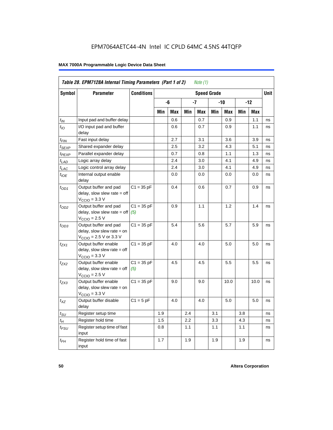| Table 28. EPM7128A Internal Timing Parameters (Part 1 of 2)<br>Note (1) |                                                                                                            |                     |     |     |     |     |     |      |       |            |    |
|-------------------------------------------------------------------------|------------------------------------------------------------------------------------------------------------|---------------------|-----|-----|-----|-----|-----|------|-------|------------|----|
| <b>Symbol</b>                                                           | <b>Parameter</b>                                                                                           | <b>Speed Grade</b>  |     |     |     |     |     |      |       |            |    |
|                                                                         |                                                                                                            |                     |     | -6  |     | -7  | -10 |      | $-12$ |            |    |
|                                                                         |                                                                                                            |                     | Min | Max | Min | Max | Min | Max  | Min   | <b>Max</b> |    |
| $t_{IN}$                                                                | Input pad and buffer delay                                                                                 |                     |     | 0.6 |     | 0.7 |     | 0.9  |       | 1.1        | ns |
| $t_{IO}$                                                                | I/O input pad and buffer<br>delay                                                                          |                     |     | 0.6 |     | 0.7 |     | 0.9  |       | 1.1        | ns |
| t <sub>FIN</sub>                                                        | Fast input delay                                                                                           |                     |     | 2.7 |     | 3.1 |     | 3.6  |       | 3.9        | ns |
| t <sub>SEXP</sub>                                                       | Shared expander delay                                                                                      |                     |     | 2.5 |     | 3.2 |     | 4.3  |       | 5.1        | ns |
| t <sub>PEXP</sub>                                                       | Parallel expander delay                                                                                    |                     |     | 0.7 |     | 0.8 |     | 1.1  |       | 1.3        | ns |
| $t_{LAD}$                                                               | Logic array delay                                                                                          |                     |     | 2.4 |     | 3.0 |     | 4.1  |       | 4.9        | ns |
| $t_{LAC}$                                                               | Logic control array delay                                                                                  |                     |     | 2.4 |     | 3.0 |     | 4.1  |       | 4.9        | ns |
| $t_{\text{IOE}}$                                                        | Internal output enable<br>delay                                                                            |                     |     | 0.0 |     | 0.0 |     | 0.0  |       | 0.0        | ns |
| $t_{OD1}$                                                               | Output buffer and pad<br>delay, slow slew rate = off<br>$VCCIO = 3.3 V$                                    | $C1 = 35 pF$        |     | 0.4 |     | 0.6 |     | 0.7  |       | 0.9        | ns |
| $t_{OD2}$                                                               | Output buffer and pad<br>delay, slow slew rate $=$ off<br>$VCCIO = 2.5 V$                                  | $C1 = 35 pF$<br>(5) |     | 0.9 |     | 1.1 |     | 1.2  |       | 1.4        | ns |
| $t_{OD3}$                                                               | Output buffer and pad<br>delay, slow slew rate = on<br>$V_{\text{CCIO}} = 2.5 \text{ V or } 3.3 \text{ V}$ | $C1 = 35 pF$        |     | 5.4 |     | 5.6 |     | 5.7  |       | 5.9        | ns |
| t <sub>ZX1</sub>                                                        | Output buffer enable<br>$delay$ , slow slew rate = off<br>$VCCIO = 3.3 V$                                  | $C1 = 35 pF$        |     | 4.0 |     | 4.0 |     | 5.0  |       | 5.0        | ns |
| $t_{ZX2}$                                                               | Output buffer enable<br>$delay$ , slow slew rate = off<br>$VCCIO = 2.5 V$                                  | $C1 = 35 pF$<br>(5) |     | 4.5 |     | 4.5 |     | 5.5  |       | 5.5        | ns |
| t <sub>ZX3</sub>                                                        | Output buffer enable<br>delay, slow slew rate = on<br>$VCCIO = 3.3 V$                                      | $C1 = 35 pF$        |     | 9.0 |     | 9.0 |     | 10.0 |       | 10.0       | ns |
| $t_{XZ}$                                                                | Output buffer disable<br>delay                                                                             | $C1 = 5$ pF         |     | 4.0 |     | 4.0 |     | 5.0  |       | 5.0        | ns |
| $t_{\scriptstyle\text{SU}}$                                             | Register setup time                                                                                        |                     | 1.9 |     | 2.4 |     | 3.1 |      | 3.8   |            | ns |
| $t_{\mathcal{H}}$                                                       | Register hold time                                                                                         |                     | 1.5 |     | 2.2 |     | 3.3 |      | 4.3   |            | ns |
| $t_{\mathsf{FSU}}$                                                      | Register setup time of fast<br>input                                                                       |                     | 0.8 |     | 1.1 |     | 1.1 |      | 1.1   |            | ns |
| $t_{FH}$                                                                | Register hold time of fast<br>input                                                                        |                     | 1.7 |     | 1.9 |     | 1.9 |      | 1.9   |            | ns |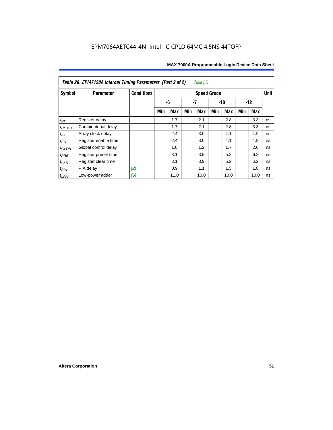| MAX 7000A Programmable Logic Device Data Sheet |  |  |  |
|------------------------------------------------|--|--|--|
|------------------------------------------------|--|--|--|

| Table 28. EPM7128A Internal Timing Parameters (Part 2 of 2)<br>Note (1) |                      |                   |     |            |     |                    |     |            |     |            |             |
|-------------------------------------------------------------------------|----------------------|-------------------|-----|------------|-----|--------------------|-----|------------|-----|------------|-------------|
| Symbol                                                                  | <b>Parameter</b>     | <b>Conditions</b> |     |            |     | <b>Speed Grade</b> |     |            |     |            | <b>Unit</b> |
|                                                                         |                      |                   |     | -6         |     | $-7$               |     | $-10$      |     | $-12$      |             |
|                                                                         |                      |                   | Min | <b>Max</b> | Min | Max                | Min | <b>Max</b> | Min | <b>Max</b> |             |
| $t_{RD}$                                                                | Register delay       |                   |     | 1.7        |     | 2.1                |     | 2.8        |     | 3.3        | ns          |
| $t_{COMB}$                                                              | Combinatorial delay  |                   |     | 1.7        |     | 2.1                |     | 2.8        |     | 3.3        | ns          |
| $t_{IC}$                                                                | Array clock delay    |                   |     | 2.4        |     | 3.0                |     | 4.1        |     | 4.9        | ns          |
| $t_{EN}$                                                                | Register enable time |                   |     | 2.4        |     | 3.0                |     | 4.1        |     | 4.9        | ns          |
| $t_{\text{GLOB}}$                                                       | Global control delay |                   |     | 1.0        |     | 1.2                |     | 1.7        |     | 2.0        | ns          |
| $t_{PRE}$                                                               | Register preset time |                   |     | 3.1        |     | 3.9                |     | 5.2        |     | 6.2        | ns          |
| $t_{CLR}$                                                               | Register clear time  |                   |     | 3.1        |     | 3.9                |     | 5.2        |     | 6.2        | ns          |
| $t_{PIA}$                                                               | PIA delay            | (2)               |     | 0.9        |     | 1.1                |     | 1.5        |     | 1.8        | ns          |
| $t_{LPA}$                                                               | Low-power adder      | (6)               |     | 11.0       |     | 10.0               |     | 10.0       |     | 10.0       | ns          |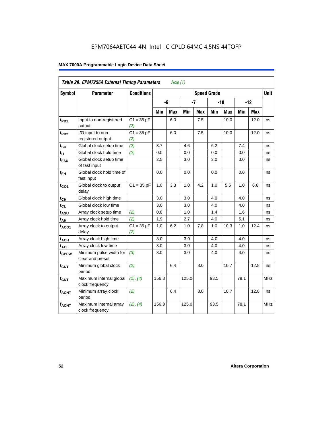| Table 29. EPM7256A External Timing Parameters<br>Note $(1)$ |                                             |                     |                    |     |       |            |      |            |      |       |             |
|-------------------------------------------------------------|---------------------------------------------|---------------------|--------------------|-----|-------|------------|------|------------|------|-------|-------------|
| Symbol                                                      | <b>Parameter</b>                            | <b>Conditions</b>   | <b>Speed Grade</b> |     |       |            |      |            |      |       | <b>Unit</b> |
|                                                             |                                             |                     |                    | -6  | $-7$  |            |      | $-10$      |      | $-12$ |             |
|                                                             |                                             |                     | Min                | Max | Min   | <b>Max</b> | Min  | <b>Max</b> | Min  | Max   |             |
| t <sub>PD1</sub>                                            | Input to non-registered<br>output           | $C1 = 35 pF$<br>(2) |                    | 6.0 |       | 7.5        |      | 10.0       |      | 12.0  | ns          |
| t <sub>PD2</sub>                                            | I/O input to non-<br>registered output      | $C1 = 35 pF$<br>(2) |                    | 6.0 |       | 7.5        |      | 10.0       |      | 12.0  | ns          |
| $t_{\text{SU}}$                                             | Global clock setup time                     | (2)                 | 3.7                |     | 4.6   |            | 6.2  |            | 7.4  |       | ns          |
| $t_H$                                                       | Global clock hold time                      | (2)                 | 0.0                |     | 0.0   |            | 0.0  |            | 0.0  |       | ns          |
| $t_{\text{FSU}}$                                            | Global clock setup time<br>of fast input    |                     | 2.5                |     | 3.0   |            | 3.0  |            | 3.0  |       | ns          |
| $t_{FH}$                                                    | Global clock hold time of<br>fast input     |                     | 0.0                |     | 0.0   |            | 0.0  |            | 0.0  |       | ns          |
| $t_{CO1}$                                                   | Global clock to output<br>delay             | $C1 = 35 pF$        | 1.0                | 3.3 | 1.0   | 4.2        | 1.0  | 5.5        | 1.0  | 6.6   | ns          |
| $t_{CH}$                                                    | Global clock high time                      |                     | 3.0                |     | 3.0   |            | 4.0  |            | 4.0  |       | ns          |
| $t_{CL}$                                                    | Global clock low time                       |                     | 3.0                |     | 3.0   |            | 4.0  |            | 4.0  |       | ns          |
| t <sub>ASU</sub>                                            | Array clock setup time                      | (2)                 | 0.8                |     | 1.0   |            | 1.4  |            | 1.6  |       | ns          |
| $t_{AH}$                                                    | Array clock hold time                       | (2)                 | 1.9                |     | 2.7   |            | 4.0  |            | 5.1  |       | ns          |
| $t_{ACO1}$                                                  | Array clock to output<br>delay              | $C1 = 35 pF$<br>(2) | 1.0                | 6.2 | 1.0   | 7.8        | 1.0  | 10.3       | 1.0  | 12.4  | ns          |
| $t_{ACH}$                                                   | Array clock high time                       |                     | 3.0                |     | 3.0   |            | 4.0  |            | 4.0  |       | ns          |
| $t_{\text{ACL}}$                                            | Array clock low time                        |                     | 3.0                |     | 3.0   |            | 4.0  |            | 4.0  |       | ns          |
| t <sub>CPPW</sub>                                           | Minimum pulse width for<br>clear and preset | (3)                 | 3.0                |     | 3.0   |            | 4.0  |            | 4.0  |       | ns          |
| $t_{\text{CNT}}$                                            | Minimum global clock<br>period              | (2)                 |                    | 6.4 |       | 8.0        |      | 10.7       |      | 12.8  | ns          |
| $f_{CNT}$                                                   | Maximum internal global<br>clock frequency  | (2), (4)            | 156.3              |     | 125.0 |            | 93.5 |            | 78.1 |       | <b>MHz</b>  |
| t <sub>ACNT</sub>                                           | Minimum array clock<br>period               | (2)                 |                    | 6.4 |       | 8.0        |      | 10.7       |      | 12.8  | ns          |
| <b>fACNT</b>                                                | Maximum internal array<br>clock frequency   | (2), (4)            | 156.3              |     | 125.0 |            | 93.5 |            | 78.1 |       | <b>MHz</b>  |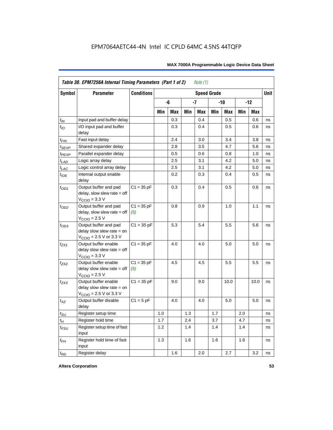| <b>Symbol</b>     | <b>Parameter</b>                                                                                           | <b>Conditions</b>   |            |     |     |            | <b>Speed Grade</b> |      |     |            | <b>Unit</b> |
|-------------------|------------------------------------------------------------------------------------------------------------|---------------------|------------|-----|-----|------------|--------------------|------|-----|------------|-------------|
|                   |                                                                                                            |                     | -6<br>$-7$ |     |     |            | -10                |      |     | $-12$      |             |
|                   |                                                                                                            |                     | Min        | Max | Min | <b>Max</b> | Min                | Max  | Min | <b>Max</b> |             |
| $t_{\mathit{IN}}$ | Input pad and buffer delay                                                                                 |                     |            | 0.3 |     | 0.4        |                    | 0.5  |     | 0.6        | ns          |
| $t_{IO}$          | I/O input pad and buffer<br>delay                                                                          |                     |            | 0.3 |     | 0.4        |                    | 0.5  |     | 0.6        | ns          |
| t <sub>FIN</sub>  | Fast input delay                                                                                           |                     |            | 2.4 |     | 3.0        |                    | 3.4  |     | 3.8        | ns          |
| <sup>t</sup> SEXP | Shared expander delay                                                                                      |                     |            | 2.8 |     | 3.5        |                    | 4.7  |     | 5.6        | ns          |
| t <sub>PEXP</sub> | Parallel expander delay                                                                                    |                     |            | 0.5 |     | 0.6        |                    | 0.8  |     | 1.0        | ns          |
| $t_{LAD}$         | Logic array delay                                                                                          |                     |            | 2.5 |     | 3.1        |                    | 4.2  |     | 5.0        | ns          |
| $t_{LAC}$         | Logic control array delay                                                                                  |                     |            | 2.5 |     | 3.1        |                    | 4.2  |     | 5.0        | ns          |
| $t_{IOE}$         | Internal output enable<br>delay                                                                            |                     |            | 0.2 |     | 0.3        |                    | 0.4  |     | 0.5        | ns          |
| $t_{OD1}$         | Output buffer and pad<br>delay, slow slew rate $=$ off<br>$V_{\text{CCIO}} = 3.3 \text{ V}$                | $C1 = 35 pF$        |            | 0.3 |     | 0.4        |                    | 0.5  |     | 0.6        | ns          |
| $t_{OD2}$         | Output buffer and pad<br>$delay$ , slow slew rate = off<br>$VCCIO = 2.5 V$                                 | $C1 = 35 pF$<br>(5) |            | 0.8 |     | 0.9        |                    | 1.0  |     | 1.1        | ns          |
| $t_{OD3}$         | Output buffer and pad<br>delay slow slew rate $=$ on<br>$V_{\text{CCIO}}$ = 2.5 V or 3.3 V                 | $C1 = 35 pF$        |            | 5.3 |     | 5.4        |                    | 5.5  |     | 5.6        | ns          |
| tzx1              | Output buffer enable<br>delay slow slew rate $=$ off<br>$VCCIO = 3.3 V$                                    | $C1 = 35 pF$        |            | 4.0 |     | 4.0        |                    | 5.0  |     | 5.0        | ns          |
| $t_{ZX2}$         | Output buffer enable<br>delay slow slew rate $=$ off<br>$VCCIO = 2.5 V$                                    | $C1 = 35 pF$<br>(5) |            | 4.5 |     | 4.5        |                    | 5.5  |     | 5.5        | ns          |
| t <sub>ZX3</sub>  | Output buffer enable<br>delay slow slew rate $=$ on<br>$V_{\text{CCIO}} = 2.5 \text{ V or } 3.3 \text{ V}$ | $C1 = 35 pF$        |            | 9.0 |     | 9.0        |                    | 10.0 |     | 10.0       | ns          |
| $t_{XZ}$          | Output buffer disable<br>delay                                                                             | $C1 = 5$ pF         |            | 4.0 |     | 4.0        |                    | 5.0  |     | 5.0        | ns          |
| $t_{\text{SU}}$   | Register setup time                                                                                        |                     | 1.0        |     | 1.3 |            | 1.7                |      | 2.0 |            | ns          |
| $t_{H}$           | Register hold time                                                                                         |                     | 1.7        |     | 2.4 |            | 3.7                |      | 4.7 |            | ns          |
| $t_{FSU}$         | Register setup time of fast<br>input                                                                       |                     | 1.2        |     | 1.4 |            | 1.4                |      | 1.4 |            | ns          |
| $t_{FH}$          | Register hold time of fast<br>input                                                                        |                     | 1.3        |     | 1.6 |            | 1.6                |      | 1.6 |            | ns          |
| $t_{RD}$          | Register delay                                                                                             |                     |            | 1.6 |     | 2.0        |                    | 2.7  |     | 3.2        | ns          |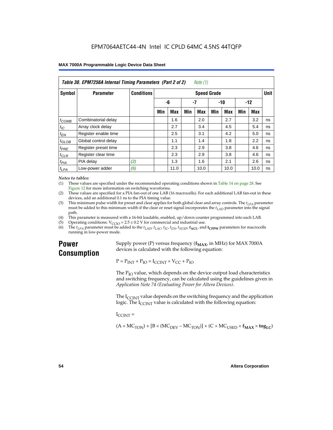| Table 30. EPM7256A Internal Timing Parameters (Part 2 of 2)<br>Note (1) |                      |                   |     |            |     |                    |     |            |     |       |             |
|-------------------------------------------------------------------------|----------------------|-------------------|-----|------------|-----|--------------------|-----|------------|-----|-------|-------------|
| Symbol                                                                  | <b>Parameter</b>     | <b>Conditions</b> |     |            |     | <b>Speed Grade</b> |     |            |     |       | <b>Unit</b> |
|                                                                         |                      |                   |     | -6         |     | -7                 |     | $-10$      |     | $-12$ |             |
|                                                                         |                      |                   | Min | <b>Max</b> | Min | Max                | Min | <b>Max</b> | Min | Max   |             |
| $t_{COMB}$                                                              | Combinatorial delay  |                   |     | 1.6        |     | 2.0                |     | 2.7        |     | 3.2   | ns          |
| $t_{IC}$                                                                | Array clock delay    |                   |     | 2.7        |     | 3.4                |     | 4.5        |     | 5.4   | ns          |
| $t_{EN}$                                                                | Register enable time |                   |     | 2.5        |     | 3.1                |     | 4.2        |     | 5.0   | ns          |
| $t_{GLOB}$                                                              | Global control delay |                   |     | 1.1        |     | 1.4                |     | 1.8        |     | 2.2   | ns          |
| $t_{PRE}$                                                               | Register preset time |                   |     | 2.3        |     | 2.9                |     | 3.8        |     | 4.6   | ns          |
| $t_{CLR}$                                                               | Register clear time  |                   |     | 2.3        |     | 2.9                |     | 3.8        |     | 4.6   | ns          |
| t <sub>PIA</sub>                                                        | PIA delay            | (2)               |     | 1.3        |     | 1.6                |     | 2.1        |     | 2.6   | ns          |
| $t_{LPA}$                                                               | Low-power adder      | (6)               |     | 11.0       |     | 10.0               |     | 10.0       |     | 10.0  | ns          |

#### *Notes to tables:*

(1) These values are specified under the recommended operating conditions shown in Table 14 on page 28. See Figure 12 for more information on switching waveforms.

- (2) These values are specified for a PIA fan-out of one LAB (16 macrocells). For each additional LAB fan-out in these devices, add an additional 0.1 ns to the PIA timing value.
- (3) This minimum pulse width for preset and clear applies for both global clear and array controls. The  $t_{LPA}$  parameter must be added to this minimum width if the clear or reset signal incorporates the  $t_{LAD}$  parameter into the signal path.
- (4) This parameter is measured with a 16-bit loadable, enabled, up/down counter programmed into each LAB.
- (5) Operating conditions:  $V_{\text{CCIO}} = 2.5 \pm 0.2 \text{ V}$  for commercial and industrial use.<br>(6) The  $t_{I}$  parameter must be added to the  $t_{I}$  AD,  $t_{I}$  ac,  $t_{\text{IC}}$ ,  $t_{\text{EN}}$ ,  $t_{\text{SVP}}$ ,  $t_{\text{ACI}}$ , and
- The  $t_{LPA}$  parameter must be added to the  $t_{LAD}$ ,  $t_{LAC}$ ,  $t_{IC}$ ,  $t_{EN}$ ,  $t_{SEXP}$ ,  $t_{ACL}$  and  $t_{CPPW}$  parameters for macrocells running in low-power mode.

### **Power Consumption**

Supply power (P) versus frequency  $(f_{MAX}$ , in MHz) for MAX 7000A devices is calculated with the following equation:

 $P = P_{INT} + P_{IO} = I_{CCINT} \times V_{CC} + P_{IO}$ 

The  $P_{IO}$  value, which depends on the device output load characteristics and switching frequency, can be calculated using the guidelines given in *Application Note 74 (Evaluating Power for Altera Devices)*.

The  $I_{\text{CUNT}}$  value depends on the switching frequency and the application logic. The  $I_{\text{CCINT}}$  value is calculated with the following equation:

 $I_{\text{CCMT}} =$ 

 $(A \times MC_{TON}) + [B \times (MC_{DEV} - MC_{TON})] + (C \times MC_{LISED} \times f_{MAX} \times tog_{LC})$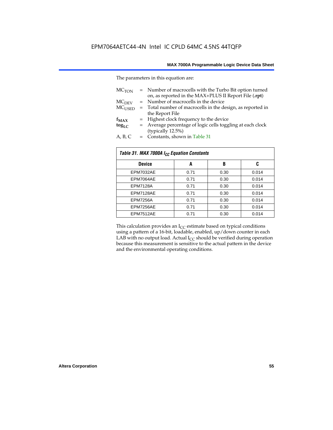The parameters in this equation are:

| MC <sub>TON</sub> | = Number of macrocells with the Turbo Bit option turned<br>on, as reported in the MAX+PLUS II Report File (.rpt) |
|-------------------|------------------------------------------------------------------------------------------------------------------|
| MC <sub>DFV</sub> | = Number of macrocells in the device                                                                             |
| $MC_{LISED}$      | = Total number of macrocells in the design, as reported in                                                       |
|                   | the Report File                                                                                                  |
| $f_{MAX}$         | = Highest clock frequency to the device                                                                          |
| $tog_{LC}$        | = Average percentage of logic cells toggling at each clock                                                       |
|                   | (typically 12.5%)                                                                                                |
| A, B, C           | = Constants, shown in Table 31                                                                                   |

| Table 31. MAX 7000A I <sub>CC</sub> Equation Constants |      |      |       |  |  |  |  |
|--------------------------------------------------------|------|------|-------|--|--|--|--|
| <b>Device</b>                                          | A    | B    | C     |  |  |  |  |
| EPM7032AE                                              | 0.71 | 0.30 | 0.014 |  |  |  |  |
| EPM7064AE                                              | 0.71 | 0.30 | 0.014 |  |  |  |  |
| <b>EPM7128A</b>                                        | 0.71 | 0.30 | 0.014 |  |  |  |  |
| EPM7128AE                                              | 0.71 | 0.30 | 0.014 |  |  |  |  |
| <b>EPM7256A</b>                                        | 0.71 | 0.30 | 0.014 |  |  |  |  |
| EPM7256AE                                              | 0.71 | 0.30 | 0.014 |  |  |  |  |
| EPM7512AE                                              | 0.71 | 0.30 | 0.014 |  |  |  |  |

This calculation provides an  $I_{CC}$  estimate based on typical conditions using a pattern of a 16-bit, loadable, enabled, up/down counter in each LAB with no output load. Actual  $I_{CC}$  should be verified during operation because this measurement is sensitive to the actual pattern in the device and the environmental operating conditions.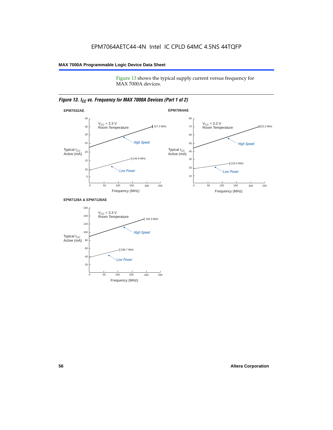Figure 13 shows the typical supply current versus frequency for MAX 7000A devices.

#### *Figure 13. I<sub>CC</sub> vs. Frequency for MAX 7000A Devices (Part 1 of 2)*



#### **EPM7128A & EPM7128AE**

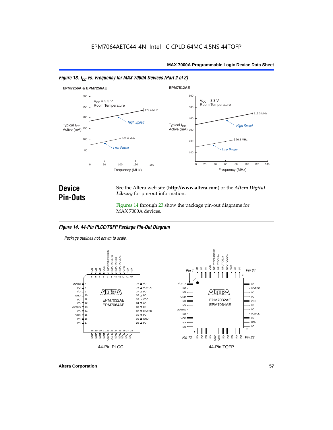



### **Device Pin-Outs**

See the Altera web site (**http://www.altera.com**) or the *Altera Digital Library* for pin-out information.

Figures 14 through 23 show the package pin-out diagrams for MAX 7000A devices.

#### *Figure 14. 44-Pin PLCC/TQFP Package Pin-Out Diagram*

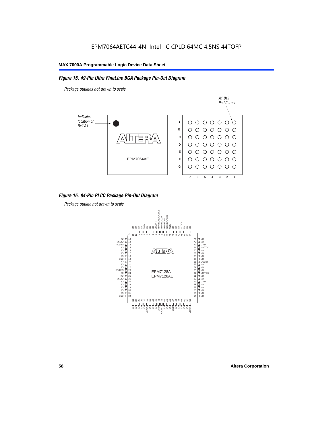#### *Figure 15. 49-Pin Ultra FineLine BGA Package Pin-Out Diagram*

*Package outlines not drawn to scale.*



#### *Figure 16. 84-Pin PLCC Package Pin-Out Diagram*

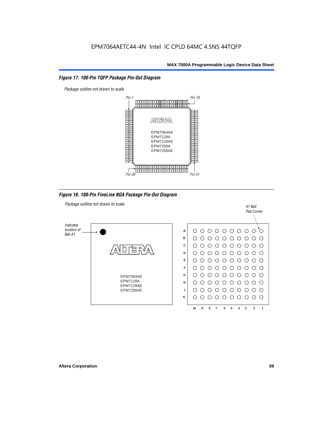#### *Figure 17. 100-Pin TQFP Package Pin-Out Diagram*



*Figure 18. 100-Pin FineLine BGA Package Pin-Out Diagram*

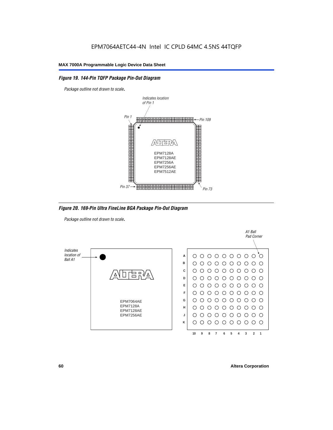#### *Figure 19. 144-Pin TQFP Package Pin-Out Diagram*

*Package outline not drawn to scale*.



*Figure 20. 169-Pin Ultra FineLine BGA Package Pin-Out Diagram*

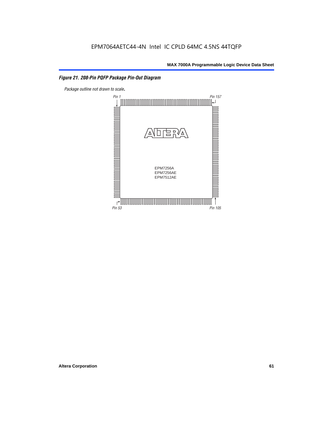#### *Figure 21. 208-Pin PQFP Package Pin-Out Diagram*

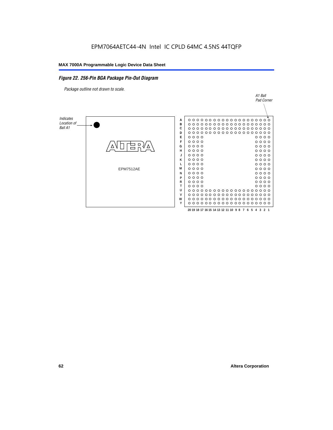#### *Figure 22. 256-Pin BGA Package Pin-Out Diagram*

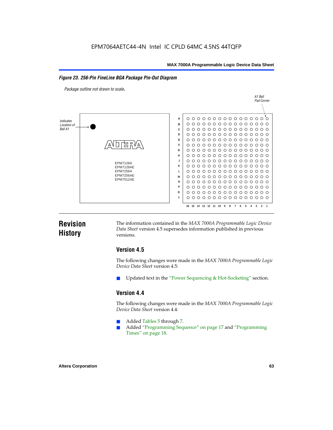#### *Figure 23. 256-Pin FineLine BGA Package Pin-Out Diagram*

*Package outline not drawn to scale*.



### **Revision History**

The information contained in the *MAX 7000A Programmable Logic Device Data Sheet* version 4.5 supersedes information published in previous versions.

#### **Version 4.5**

The following changes were made in the *MAX 7000A Programmable Logic Device Data Sheet* version 4.5:

Updated text in the "Power Sequencing & Hot-Socketing" section.

#### **Version 4.4**

The following changes were made in the *MAX 7000A Programmable Logic Device Data Sheet* version 4.4:

- Added Tables 5 through 7.
	- Added "Programming Sequence" on page 17 and "Programming Times" on page 18.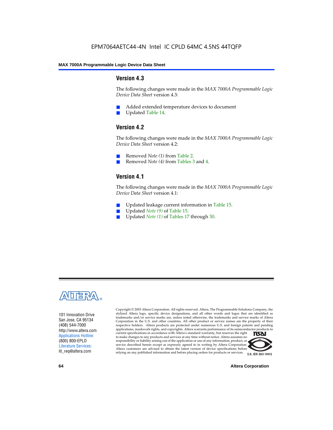#### **Version 4.3**

The following changes were made in the *MAX 7000A Programmable Logic Device Data Sheet* version 4.3:

- Added extended temperature devices to document
- Updated Table 14.

#### **Version 4.2**

The following changes were made in the *MAX 7000A Programmable Logic Device Data Sheet* version 4.2:

- Removed *Note (1)* from Table 2.
- Removed *Note (4)* from Tables 3 and 4.

#### **Version 4.1**

The following changes were made in the *MAX 7000A Programmable Logic Device Data Sheet* version 4.1:

- Updated leakage current information in Table 15.
- Updated *Note (9)* of Table 15.
- Updated *Note* (1) of Tables 17 through 30.



101 Innovation Drive San Jose, CA 95134 (408) 544-7000 http://www.altera.com Applications Hotline: (800) 800-EPLD Literature Services: lit\_req@altera.com

Copyright © 2003 Altera Corporation. All rights reserved. Altera, The Programmable Solutions Company, the stylized Altera logo, specific device designations, and all other words and logos that are identified as trademarks and/or service marks are, unless noted otherwise, the trademarks and service marks of Altera Corporation in the U.S. and other countries. All other product or service names are the property of their respective holders. Altera products are protected under numerous U.S. and foreign patents and pending applications, maskwork rights, and copyrights. Altera warrants performance of its semiconductor products to current specifications in accordance with Altera's standard warranty, but reserves the right **TSAI** to make changes to any products and services at any time without notice. Altera assumes no responsibility or liability arising out of the application or use of any information, product, or service described herein except as expressly agreed to in writing by Altera Corporation. Altera customers are advised to obtain the latest version of device specifications before relying on any published information and before placing orders for products or services.



**64 Altera Corporation**